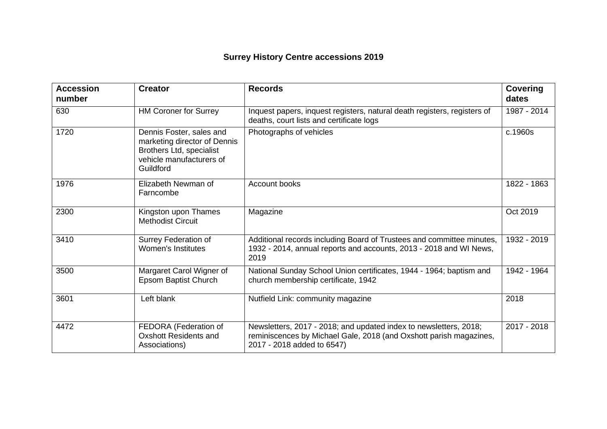## **Surrey History Centre accessions 2019**

| <b>Accession</b><br>number | <b>Creator</b>                                                                                                                | <b>Records</b>                                                                                                                                                        | <b>Covering</b><br>dates |
|----------------------------|-------------------------------------------------------------------------------------------------------------------------------|-----------------------------------------------------------------------------------------------------------------------------------------------------------------------|--------------------------|
| 630                        | <b>HM Coroner for Surrey</b>                                                                                                  | Inquest papers, inquest registers, natural death registers, registers of<br>deaths, court lists and certificate logs                                                  | 1987 - 2014              |
| 1720                       | Dennis Foster, sales and<br>marketing director of Dennis<br>Brothers Ltd, specialist<br>vehicle manufacturers of<br>Guildford | Photographs of vehicles                                                                                                                                               | c.1960s                  |
| 1976                       | Elizabeth Newman of<br>Farncombe                                                                                              | Account books                                                                                                                                                         | 1822 - 1863              |
| 2300                       | Kingston upon Thames<br><b>Methodist Circuit</b>                                                                              | Magazine                                                                                                                                                              | Oct 2019                 |
| 3410                       | Surrey Federation of<br><b>Women's Institutes</b>                                                                             | Additional records including Board of Trustees and committee minutes,<br>1932 - 2014, annual reports and accounts, 2013 - 2018 and WI News,<br>2019                   | 1932 - 2019              |
| 3500                       | Margaret Carol Wigner of<br>Epsom Baptist Church                                                                              | National Sunday School Union certificates, 1944 - 1964; baptism and<br>church membership certificate, 1942                                                            | 1942 - 1964              |
| 3601                       | Left blank                                                                                                                    | Nutfield Link: community magazine                                                                                                                                     | 2018                     |
| 4472                       | FEDORA (Federation of<br><b>Oxshott Residents and</b><br>Associations)                                                        | Newsletters, 2017 - 2018; and updated index to newsletters, 2018;<br>reminiscences by Michael Gale, 2018 (and Oxshott parish magazines,<br>2017 - 2018 added to 6547) | 2017 - 2018              |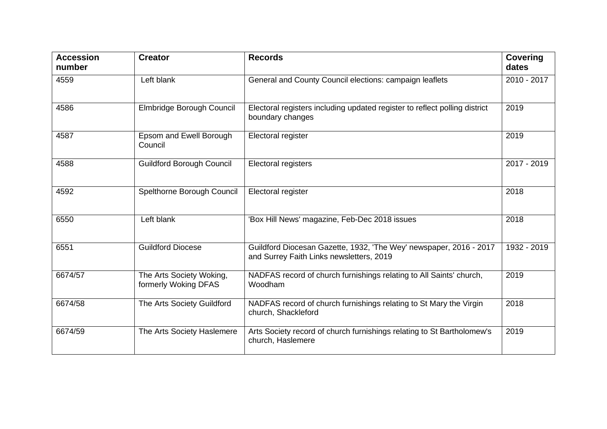| <b>Accession</b><br>number | <b>Creator</b>                                   | <b>Records</b>                                                                                                 | <b>Covering</b><br>dates |
|----------------------------|--------------------------------------------------|----------------------------------------------------------------------------------------------------------------|--------------------------|
| 4559                       | Left blank                                       | General and County Council elections: campaign leaflets                                                        | 2010 - 2017              |
| 4586                       | Elmbridge Borough Council                        | Electoral registers including updated register to reflect polling district<br>boundary changes                 | 2019                     |
| 4587                       | Epsom and Ewell Borough<br>Council               | Electoral register                                                                                             | 2019                     |
| 4588                       | <b>Guildford Borough Council</b>                 | Electoral registers                                                                                            | 2017 - 2019              |
| 4592                       | Spelthorne Borough Council                       | Electoral register                                                                                             | 2018                     |
| 6550                       | Left blank                                       | 'Box Hill News' magazine, Feb-Dec 2018 issues                                                                  | 2018                     |
| 6551                       | <b>Guildford Diocese</b>                         | Guildford Diocesan Gazette, 1932, 'The Wey' newspaper, 2016 - 2017<br>and Surrey Faith Links newsletters, 2019 | 1932 - 2019              |
| 6674/57                    | The Arts Society Woking,<br>formerly Woking DFAS | NADFAS record of church furnishings relating to All Saints' church,<br>Woodham                                 | 2019                     |
| 6674/58                    | The Arts Society Guildford                       | NADFAS record of church furnishings relating to St Mary the Virgin<br>church, Shackleford                      | 2018                     |
| 6674/59                    | The Arts Society Haslemere                       | Arts Society record of church furnishings relating to St Bartholomew's<br>church, Haslemere                    | 2019                     |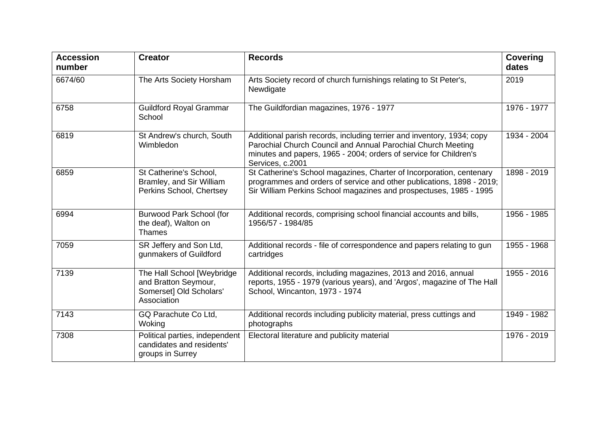| <b>Accession</b><br>number | <b>Creator</b>                                                                               | <b>Records</b>                                                                                                                                                                                                                  | <b>Covering</b><br>dates |
|----------------------------|----------------------------------------------------------------------------------------------|---------------------------------------------------------------------------------------------------------------------------------------------------------------------------------------------------------------------------------|--------------------------|
| 6674/60                    | The Arts Society Horsham                                                                     | Arts Society record of church furnishings relating to St Peter's,<br>Newdigate                                                                                                                                                  | 2019                     |
| 6758                       | <b>Guildford Royal Grammar</b><br>School                                                     | The Guildfordian magazines, 1976 - 1977                                                                                                                                                                                         | 1976 - 1977              |
| 6819                       | St Andrew's church, South<br>Wimbledon                                                       | Additional parish records, including terrier and inventory, 1934; copy<br>Parochial Church Council and Annual Parochial Church Meeting<br>minutes and papers, 1965 - 2004; orders of service for Children's<br>Services, c.2001 | 1934 - 2004              |
| 6859                       | St Catherine's School,<br>Bramley, and Sir William<br>Perkins School, Chertsey               | St Catherine's School magazines, Charter of Incorporation, centenary<br>programmes and orders of service and other publications, 1898 - 2019;<br>Sir William Perkins School magazines and prospectuses, 1985 - 1995             | 1898 - 2019              |
| 6994                       | Burwood Park School (for<br>the deaf), Walton on<br>Thames                                   | Additional records, comprising school financial accounts and bills,<br>1956/57 - 1984/85                                                                                                                                        | 1956 - 1985              |
| 7059                       | SR Jeffery and Son Ltd,<br>gunmakers of Guildford                                            | Additional records - file of correspondence and papers relating to gun<br>cartridges                                                                                                                                            | 1955 - 1968              |
| 7139                       | The Hall School [Weybridge<br>and Bratton Seymour,<br>Somerset] Old Scholars'<br>Association | Additional records, including magazines, 2013 and 2016, annual<br>reports, 1955 - 1979 (various years), and 'Argos', magazine of The Hall<br>School, Wincanton, 1973 - 1974                                                     | 1955 - 2016              |
| 7143                       | GQ Parachute Co Ltd,<br>Woking                                                               | Additional records including publicity material, press cuttings and<br>photographs                                                                                                                                              | 1949 - 1982              |
| 7308                       | Political parties, independent<br>candidates and residents'<br>groups in Surrey              | Electoral literature and publicity material                                                                                                                                                                                     | 1976 - 2019              |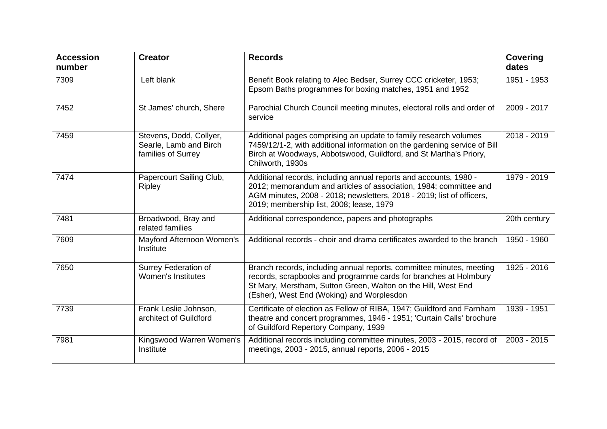| <b>Accession</b><br>number | <b>Creator</b>                                                          | <b>Records</b>                                                                                                                                                                                                                                              | <b>Covering</b><br>dates |
|----------------------------|-------------------------------------------------------------------------|-------------------------------------------------------------------------------------------------------------------------------------------------------------------------------------------------------------------------------------------------------------|--------------------------|
| 7309                       | Left blank                                                              | Benefit Book relating to Alec Bedser, Surrey CCC cricketer, 1953;<br>Epsom Baths programmes for boxing matches, 1951 and 1952                                                                                                                               | 1951 - 1953              |
| 7452                       | St James' church, Shere                                                 | Parochial Church Council meeting minutes, electoral rolls and order of<br>service                                                                                                                                                                           | 2009 - 2017              |
| 7459                       | Stevens, Dodd, Collyer,<br>Searle, Lamb and Birch<br>families of Surrey | Additional pages comprising an update to family research volumes<br>7459/12/1-2, with additional information on the gardening service of Bill<br>Birch at Woodways, Abbotswood, Guildford, and St Martha's Priory,<br>Chilworth, 1930s                      | 2018 - 2019              |
| 7474                       | Papercourt Sailing Club,<br><b>Ripley</b>                               | Additional records, including annual reports and accounts, 1980 -<br>2012; memorandum and articles of association, 1984; committee and<br>AGM minutes, 2008 - 2018; newsletters, 2018 - 2019; list of officers,<br>2019; membership list, 2008; lease, 1979 | 1979 - 2019              |
| 7481                       | Broadwood, Bray and<br>related families                                 | Additional correspondence, papers and photographs                                                                                                                                                                                                           | 20th century             |
| 7609                       | Mayford Afternoon Women's<br>Institute                                  | Additional records - choir and drama certificates awarded to the branch                                                                                                                                                                                     | 1950 - 1960              |
| 7650                       | Surrey Federation of<br><b>Women's Institutes</b>                       | Branch records, including annual reports, committee minutes, meeting<br>records, scrapbooks and programme cards for branches at Holmbury<br>St Mary, Merstham, Sutton Green, Walton on the Hill, West End<br>(Esher), West End (Woking) and Worplesdon      | 1925 - 2016              |
| 7739                       | Frank Leslie Johnson,<br>architect of Guildford                         | Certificate of election as Fellow of RIBA, 1947; Guildford and Farnham<br>theatre and concert programmes, 1946 - 1951; 'Curtain Calls' brochure<br>of Guildford Repertory Company, 1939                                                                     | 1939 - 1951              |
| 7981                       | Kingswood Warren Women's<br>Institute                                   | Additional records including committee minutes, 2003 - 2015, record of<br>meetings, 2003 - 2015, annual reports, 2006 - 2015                                                                                                                                | 2003 - 2015              |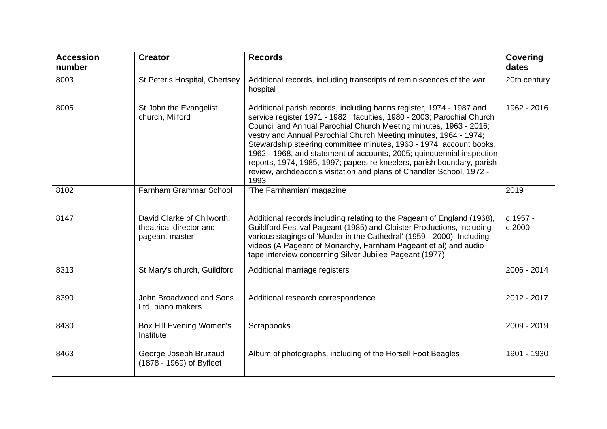| <b>Accession</b><br>number | <b>Creator</b>                                                          | <b>Records</b>                                                                                                                                                                                                                                                                                                                                                                                                                                                                                                                                                                                     | <b>Covering</b><br>dates |
|----------------------------|-------------------------------------------------------------------------|----------------------------------------------------------------------------------------------------------------------------------------------------------------------------------------------------------------------------------------------------------------------------------------------------------------------------------------------------------------------------------------------------------------------------------------------------------------------------------------------------------------------------------------------------------------------------------------------------|--------------------------|
| 8003                       | St Peter's Hospital, Chertsey                                           | Additional records, including transcripts of reminiscences of the war<br>hospital                                                                                                                                                                                                                                                                                                                                                                                                                                                                                                                  | 20th century             |
| 8005                       | St John the Evangelist<br>church, Milford                               | Additional parish records, including banns register, 1974 - 1987 and<br>service register 1971 - 1982 ; faculties, 1980 - 2003; Parochial Church<br>Council and Annual Parochial Church Meeting minutes, 1963 - 2016;<br>vestry and Annual Parochial Church Meeting minutes, 1964 - 1974;<br>Stewardship steering committee minutes, 1963 - 1974; account books,<br>1962 - 1968, and statement of accounts, 2005; quinquennial inspection<br>reports, 1974, 1985, 1997; papers re kneelers, parish boundary, parish<br>review, archdeacon's visitation and plans of Chandler School, 1972 -<br>1993 | 1962 - 2016              |
| 8102                       | <b>Farnham Grammar School</b>                                           | 'The Farnhamian' magazine                                                                                                                                                                                                                                                                                                                                                                                                                                                                                                                                                                          | 2019                     |
| 8147                       | David Clarke of Chilworth,<br>theatrical director and<br>pageant master | Additional records including relating to the Pageant of England (1968),<br>Guildford Festival Pageant (1985) and Cloister Productions, including<br>various stagings of 'Murder in the Cathedral' (1959 - 2000). Including<br>videos (A Pageant of Monarchy, Farnham Pageant et al) and audio<br>tape interview concerning Silver Jubilee Pageant (1977)                                                                                                                                                                                                                                           | c.1957 -<br>c.2000       |
| 8313                       | St Mary's church, Guildford                                             | Additional marriage registers                                                                                                                                                                                                                                                                                                                                                                                                                                                                                                                                                                      | 2006 - 2014              |
| 8390                       | John Broadwood and Sons<br>Ltd, piano makers                            | Additional research correspondence                                                                                                                                                                                                                                                                                                                                                                                                                                                                                                                                                                 | 2012 - 2017              |
| 8430                       | <b>Box Hill Evening Women's</b><br>Institute                            | Scrapbooks                                                                                                                                                                                                                                                                                                                                                                                                                                                                                                                                                                                         | 2009 - 2019              |
| 8463                       | George Joseph Bruzaud<br>(1878 - 1969) of Byfleet                       | Album of photographs, including of the Horsell Foot Beagles                                                                                                                                                                                                                                                                                                                                                                                                                                                                                                                                        | 1901 - 1930              |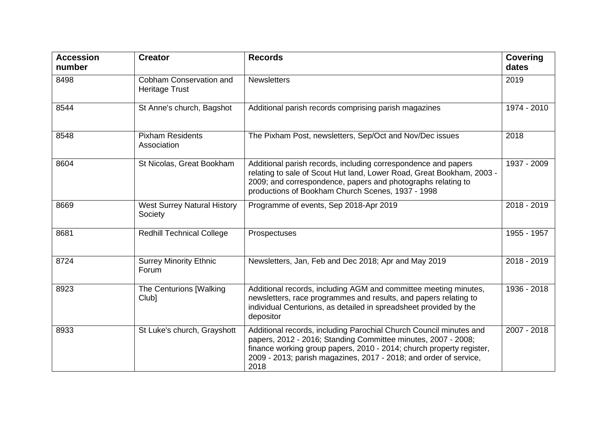| <b>Accession</b><br>number | <b>Creator</b>                                   | <b>Records</b>                                                                                                                                                                                                                                                                           | <b>Covering</b><br>dates |
|----------------------------|--------------------------------------------------|------------------------------------------------------------------------------------------------------------------------------------------------------------------------------------------------------------------------------------------------------------------------------------------|--------------------------|
| 8498                       | Cobham Conservation and<br><b>Heritage Trust</b> | <b>Newsletters</b>                                                                                                                                                                                                                                                                       | 2019                     |
| 8544                       | St Anne's church, Bagshot                        | Additional parish records comprising parish magazines                                                                                                                                                                                                                                    | 1974 - 2010              |
| 8548                       | <b>Pixham Residents</b><br>Association           | The Pixham Post, newsletters, Sep/Oct and Nov/Dec issues                                                                                                                                                                                                                                 | 2018                     |
| 8604                       | St Nicolas, Great Bookham                        | Additional parish records, including correspondence and papers<br>relating to sale of Scout Hut land, Lower Road, Great Bookham, 2003 -<br>2009; and correspondence, papers and photographs relating to<br>productions of Bookham Church Scenes, 1937 - 1998                             | 1937 - 2009              |
| 8669                       | <b>West Surrey Natural History</b><br>Society    | Programme of events, Sep 2018-Apr 2019                                                                                                                                                                                                                                                   | 2018 - 2019              |
| 8681                       | <b>Redhill Technical College</b>                 | Prospectuses                                                                                                                                                                                                                                                                             | 1955 - 1957              |
| 8724                       | <b>Surrey Minority Ethnic</b><br>Forum           | Newsletters, Jan, Feb and Dec 2018; Apr and May 2019                                                                                                                                                                                                                                     | 2018 - 2019              |
| 8923                       | The Centurions [Walking<br>Club]                 | Additional records, including AGM and committee meeting minutes,<br>newsletters, race programmes and results, and papers relating to<br>individual Centurions, as detailed in spreadsheet provided by the<br>depositor                                                                   | 1936 - 2018              |
| 8933                       | St Luke's church, Grayshott                      | Additional records, including Parochial Church Council minutes and<br>papers, 2012 - 2016; Standing Committee minutes, 2007 - 2008;<br>finance working group papers, 2010 - 2014; church property register,<br>2009 - 2013; parish magazines, 2017 - 2018; and order of service,<br>2018 | 2007 - 2018              |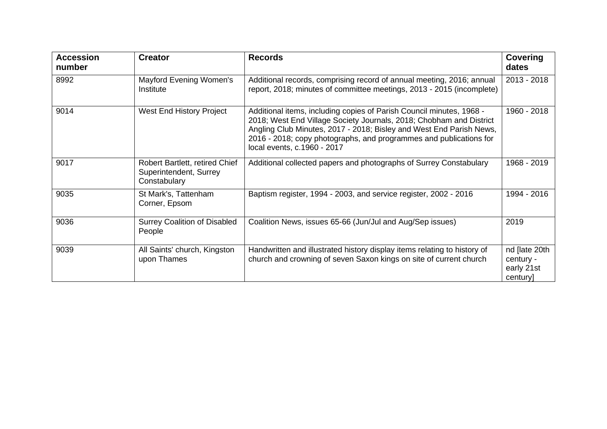| <b>Accession</b><br>number | <b>Creator</b>                                                           | <b>Records</b>                                                                                                                                                                                                                                                                                                          | Covering<br>dates                                    |
|----------------------------|--------------------------------------------------------------------------|-------------------------------------------------------------------------------------------------------------------------------------------------------------------------------------------------------------------------------------------------------------------------------------------------------------------------|------------------------------------------------------|
| 8992                       | Mayford Evening Women's<br>Institute                                     | Additional records, comprising record of annual meeting, 2016; annual<br>report, 2018; minutes of committee meetings, 2013 - 2015 (incomplete)                                                                                                                                                                          | 2013 - 2018                                          |
| 9014                       | West End History Project                                                 | Additional items, including copies of Parish Council minutes, 1968 -<br>2018; West End Village Society Journals, 2018; Chobham and District<br>Angling Club Minutes, 2017 - 2018; Bisley and West End Parish News,<br>2016 - 2018; copy photographs, and programmes and publications for<br>local events, c.1960 - 2017 | 1960 - 2018                                          |
| 9017                       | Robert Bartlett, retired Chief<br>Superintendent, Surrey<br>Constabulary | Additional collected papers and photographs of Surrey Constabulary                                                                                                                                                                                                                                                      | 1968 - 2019                                          |
| 9035                       | St Mark's, Tattenham<br>Corner, Epsom                                    | Baptism register, 1994 - 2003, and service register, 2002 - 2016                                                                                                                                                                                                                                                        | 1994 - 2016                                          |
| 9036                       | <b>Surrey Coalition of Disabled</b><br>People                            | Coalition News, issues 65-66 (Jun/Jul and Aug/Sep issues)                                                                                                                                                                                                                                                               | 2019                                                 |
| 9039                       | All Saints' church, Kingston<br>upon Thames                              | Handwritten and illustrated history display items relating to history of<br>church and crowning of seven Saxon kings on site of current church                                                                                                                                                                          | nd [late 20th<br>century -<br>early 21st<br>century] |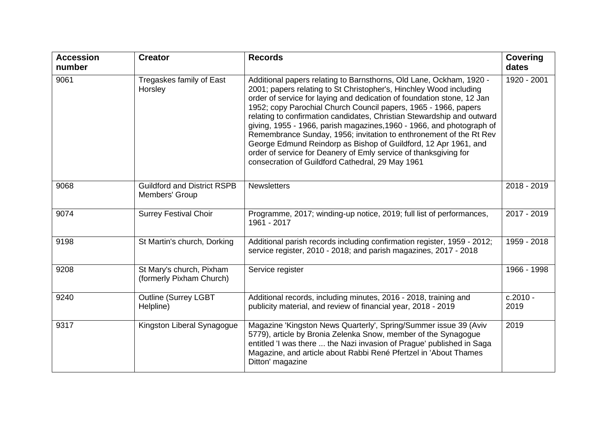| <b>Accession</b><br>number | <b>Creator</b>                                       | <b>Records</b>                                                                                                                                                                                                                                                                                                                                                                                                                                                                                                                                                                                                                                                                                             | <b>Covering</b><br>dates |
|----------------------------|------------------------------------------------------|------------------------------------------------------------------------------------------------------------------------------------------------------------------------------------------------------------------------------------------------------------------------------------------------------------------------------------------------------------------------------------------------------------------------------------------------------------------------------------------------------------------------------------------------------------------------------------------------------------------------------------------------------------------------------------------------------------|--------------------------|
| 9061                       | Tregaskes family of East<br>Horsley                  | Additional papers relating to Barnsthorns, Old Lane, Ockham, 1920 -<br>2001; papers relating to St Christopher's, Hinchley Wood including<br>order of service for laying and dedication of foundation stone, 12 Jan<br>1952; copy Parochial Church Council papers, 1965 - 1966, papers<br>relating to confirmation candidates, Christian Stewardship and outward<br>giving, 1955 - 1966, parish magazines, 1960 - 1966, and photograph of<br>Remembrance Sunday, 1956; invitation to enthronement of the Rt Rev<br>George Edmund Reindorp as Bishop of Guildford, 12 Apr 1961, and<br>order of service for Deanery of Emly service of thanksgiving for<br>consecration of Guildford Cathedral, 29 May 1961 | 1920 - 2001              |
| 9068                       | <b>Guildford and District RSPB</b><br>Members' Group | <b>Newsletters</b>                                                                                                                                                                                                                                                                                                                                                                                                                                                                                                                                                                                                                                                                                         | 2018 - 2019              |
| 9074                       | <b>Surrey Festival Choir</b>                         | Programme, 2017; winding-up notice, 2019; full list of performances,<br>1961 - 2017                                                                                                                                                                                                                                                                                                                                                                                                                                                                                                                                                                                                                        | 2017 - 2019              |
| 9198                       | St Martin's church, Dorking                          | Additional parish records including confirmation register, 1959 - 2012;<br>service register, 2010 - 2018; and parish magazines, 2017 - 2018                                                                                                                                                                                                                                                                                                                                                                                                                                                                                                                                                                | 1959 - 2018              |
| 9208                       | St Mary's church, Pixham<br>(formerly Pixham Church) | Service register                                                                                                                                                                                                                                                                                                                                                                                                                                                                                                                                                                                                                                                                                           | 1966 - 1998              |
| 9240                       | <b>Outline (Surrey LGBT</b><br>Helpline)             | Additional records, including minutes, 2016 - 2018, training and<br>publicity material, and review of financial year, 2018 - 2019                                                                                                                                                                                                                                                                                                                                                                                                                                                                                                                                                                          | $c.2010 -$<br>2019       |
| 9317                       | Kingston Liberal Synagogue                           | Magazine 'Kingston News Quarterly', Spring/Summer issue 39 (Aviv<br>5779), article by Bronia Zelenka Snow, member of the Synagogue<br>entitled 'I was there  the Nazi invasion of Prague' published in Saga<br>Magazine, and article about Rabbi René Pfertzel in 'About Thames<br>Ditton' magazine                                                                                                                                                                                                                                                                                                                                                                                                        | 2019                     |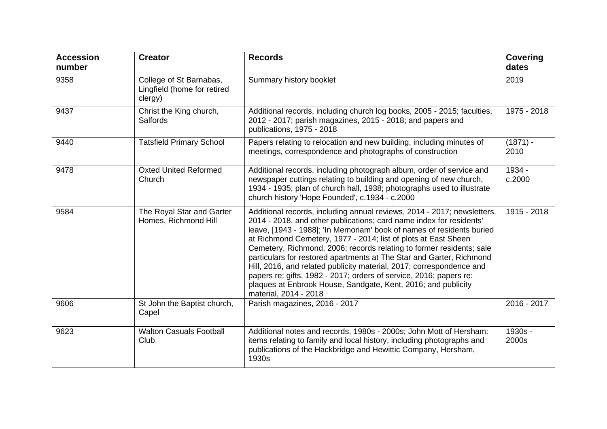| <b>Accession</b><br>number | <b>Creator</b>                                                    | <b>Records</b>                                                                                                                                                                                                                                                                                                                                                                                                                                                                                                                                                                                                                                                                    | <b>Covering</b><br>dates |
|----------------------------|-------------------------------------------------------------------|-----------------------------------------------------------------------------------------------------------------------------------------------------------------------------------------------------------------------------------------------------------------------------------------------------------------------------------------------------------------------------------------------------------------------------------------------------------------------------------------------------------------------------------------------------------------------------------------------------------------------------------------------------------------------------------|--------------------------|
| 9358                       | College of St Barnabas,<br>Lingfield (home for retired<br>clergy) | Summary history booklet                                                                                                                                                                                                                                                                                                                                                                                                                                                                                                                                                                                                                                                           | 2019                     |
| 9437                       | Christ the King church,<br>Salfords                               | Additional records, including church log books, 2005 - 2015; faculties,<br>2012 - 2017; parish magazines, 2015 - 2018; and papers and<br>publications, 1975 - 2018                                                                                                                                                                                                                                                                                                                                                                                                                                                                                                                | 1975 - 2018              |
| 9440                       | <b>Tatsfield Primary School</b>                                   | Papers relating to relocation and new building, including minutes of<br>meetings, correspondence and photographs of construction                                                                                                                                                                                                                                                                                                                                                                                                                                                                                                                                                  | $(1871) -$<br>2010       |
| 9478                       | <b>Oxted United Reformed</b><br>Church                            | Additional records, including photograph album, order of service and<br>newspaper cuttings relating to building and opening of new church,<br>1934 - 1935; plan of church hall, 1938; photographs used to illustrate<br>church history 'Hope Founded', c.1934 - c.2000                                                                                                                                                                                                                                                                                                                                                                                                            | 1934 -<br>c.2000         |
| 9584                       | The Royal Star and Garter<br>Homes, Richmond Hill                 | Additional records, including annual reviews, 2014 - 2017; newsletters,<br>2014 - 2018, and other publications; card name index for residents'<br>leave, [1943 - 1988]; 'In Memoriam' book of names of residents buried<br>at Richmond Cemetery, 1977 - 2014; list of plots at East Sheen<br>Cemetery, Richmond, 2006; records relating to former residents; sale<br>particulars for restored apartments at The Star and Garter, Richmond<br>Hill, 2016, and related publicity material, 2017; correspondence and<br>papers re: gifts, 1982 - 2017; orders of service, 2016; papers re:<br>plaques at Enbrook House, Sandgate, Kent, 2016; and publicity<br>material, 2014 - 2018 | 1915 - 2018              |
| 9606                       | St John the Baptist church,<br>Capel                              | Parish magazines, 2016 - 2017                                                                                                                                                                                                                                                                                                                                                                                                                                                                                                                                                                                                                                                     | 2016 - 2017              |
| 9623                       | <b>Walton Casuals Football</b><br>Club                            | Additional notes and records, 1980s - 2000s; John Mott of Hersham:<br>items relating to family and local history, including photographs and<br>publications of the Hackbridge and Hewittic Company, Hersham,<br>1930s                                                                                                                                                                                                                                                                                                                                                                                                                                                             | 1930s -<br>2000s         |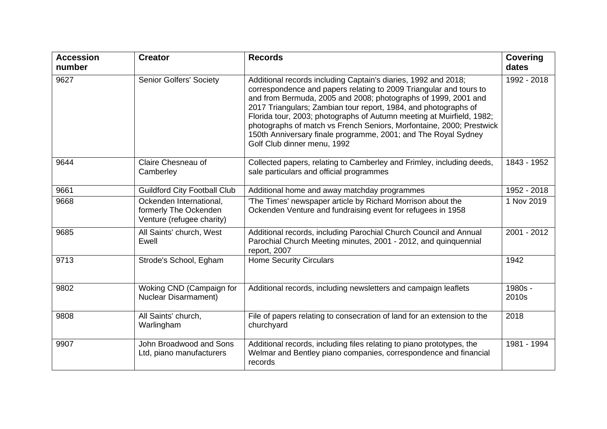| <b>Accession</b><br>number | <b>Creator</b>                                                                | <b>Records</b>                                                                                                                                                                                                                                                                                                                                                                                                                                                                                                              | <b>Covering</b><br>dates |
|----------------------------|-------------------------------------------------------------------------------|-----------------------------------------------------------------------------------------------------------------------------------------------------------------------------------------------------------------------------------------------------------------------------------------------------------------------------------------------------------------------------------------------------------------------------------------------------------------------------------------------------------------------------|--------------------------|
| 9627                       | <b>Senior Golfers' Society</b>                                                | Additional records including Captain's diaries, 1992 and 2018;<br>correspondence and papers relating to 2009 Triangular and tours to<br>and from Bermuda, 2005 and 2008; photographs of 1999, 2001 and<br>2017 Triangulars; Zambian tour report, 1984, and photographs of<br>Florida tour, 2003; photographs of Autumn meeting at Muirfield, 1982;<br>photographs of match vs French Seniors, Morfontaine, 2000; Prestwick<br>150th Anniversary finale programme, 2001; and The Royal Sydney<br>Golf Club dinner menu, 1992 | 1992 - 2018              |
| 9644                       | Claire Chesneau of<br>Camberley                                               | Collected papers, relating to Camberley and Frimley, including deeds,<br>sale particulars and official programmes                                                                                                                                                                                                                                                                                                                                                                                                           | 1843 - 1952              |
| 9661                       | <b>Guildford City Football Club</b>                                           | Additional home and away matchday programmes                                                                                                                                                                                                                                                                                                                                                                                                                                                                                | 1952 - 2018              |
| 9668                       | Ockenden International,<br>formerly The Ockenden<br>Venture (refugee charity) | 'The Times' newspaper article by Richard Morrison about the<br>Ockenden Venture and fundraising event for refugees in 1958                                                                                                                                                                                                                                                                                                                                                                                                  | 1 Nov 2019               |
| 9685                       | All Saints' church, West<br>Ewell                                             | Additional records, including Parochial Church Council and Annual<br>Parochial Church Meeting minutes, 2001 - 2012, and quinquennial<br>report, 2007                                                                                                                                                                                                                                                                                                                                                                        | 2001 - 2012              |
| 9713                       | Strode's School, Egham                                                        | <b>Home Security Circulars</b>                                                                                                                                                                                                                                                                                                                                                                                                                                                                                              | 1942                     |
| 9802                       | Woking CND (Campaign for<br><b>Nuclear Disarmament)</b>                       | Additional records, including newsletters and campaign leaflets                                                                                                                                                                                                                                                                                                                                                                                                                                                             | 1980s -<br>2010s         |
| 9808                       | All Saints' church,<br>Warlingham                                             | File of papers relating to consecration of land for an extension to the<br>churchyard                                                                                                                                                                                                                                                                                                                                                                                                                                       | 2018                     |
| 9907                       | John Broadwood and Sons<br>Ltd, piano manufacturers                           | Additional records, including files relating to piano prototypes, the<br>Welmar and Bentley piano companies, correspondence and financial<br>records                                                                                                                                                                                                                                                                                                                                                                        | 1981 - 1994              |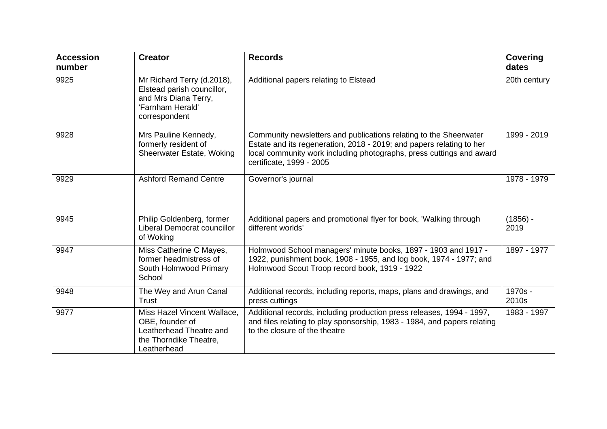| <b>Accession</b><br>number | <b>Creator</b>                                                                                                        | <b>Records</b>                                                                                                                                                                                                                                | <b>Covering</b><br>dates |
|----------------------------|-----------------------------------------------------------------------------------------------------------------------|-----------------------------------------------------------------------------------------------------------------------------------------------------------------------------------------------------------------------------------------------|--------------------------|
| 9925                       | Mr Richard Terry (d.2018),<br>Elstead parish councillor,<br>and Mrs Diana Terry,<br>'Farnham Herald'<br>correspondent | Additional papers relating to Elstead                                                                                                                                                                                                         | 20th century             |
| 9928                       | Mrs Pauline Kennedy,<br>formerly resident of<br>Sheerwater Estate, Woking                                             | Community newsletters and publications relating to the Sheerwater<br>Estate and its regeneration, 2018 - 2019; and papers relating to her<br>local community work including photographs, press cuttings and award<br>certificate, 1999 - 2005 | 1999 - 2019              |
| 9929                       | <b>Ashford Remand Centre</b>                                                                                          | Governor's journal                                                                                                                                                                                                                            | 1978 - 1979              |
| 9945                       | Philip Goldenberg, former<br>Liberal Democrat councillor<br>of Woking                                                 | Additional papers and promotional flyer for book, 'Walking through<br>different worlds'                                                                                                                                                       | $(1856) -$<br>2019       |
| 9947                       | Miss Catherine C Mayes,<br>former headmistress of<br>South Holmwood Primary<br>School                                 | Holmwood School managers' minute books, 1897 - 1903 and 1917 -<br>1922, punishment book, 1908 - 1955, and log book, 1974 - 1977; and<br>Holmwood Scout Troop record book, 1919 - 1922                                                         | 1897 - 1977              |
| 9948                       | The Wey and Arun Canal<br>Trust                                                                                       | Additional records, including reports, maps, plans and drawings, and<br>press cuttings                                                                                                                                                        | 1970s -<br>2010s         |
| 9977                       | Miss Hazel Vincent Wallace,<br>OBE, founder of<br>Leatherhead Theatre and<br>the Thorndike Theatre,<br>Leatherhead    | Additional records, including production press releases, 1994 - 1997,<br>and files relating to play sponsorship, 1983 - 1984, and papers relating<br>to the closure of the theatre                                                            | 1983 - 1997              |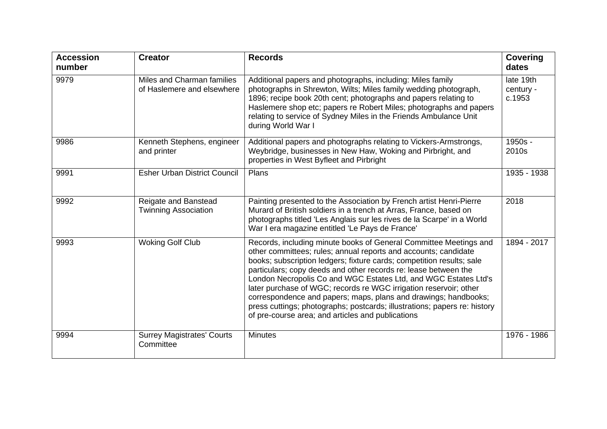| <b>Accession</b><br>number | <b>Creator</b>                                           | <b>Records</b>                                                                                                                                                                                                                                                                                                                                                                                                                                                                                                                                                                                                                | <b>Covering</b><br>dates         |
|----------------------------|----------------------------------------------------------|-------------------------------------------------------------------------------------------------------------------------------------------------------------------------------------------------------------------------------------------------------------------------------------------------------------------------------------------------------------------------------------------------------------------------------------------------------------------------------------------------------------------------------------------------------------------------------------------------------------------------------|----------------------------------|
| 9979                       | Miles and Charman families<br>of Haslemere and elsewhere | Additional papers and photographs, including: Miles family<br>photographs in Shrewton, Wilts; Miles family wedding photograph,<br>1896; recipe book 20th cent; photographs and papers relating to<br>Haslemere shop etc; papers re Robert Miles; photographs and papers<br>relating to service of Sydney Miles in the Friends Ambulance Unit<br>during World War I                                                                                                                                                                                                                                                            | late 19th<br>century -<br>c.1953 |
| 9986                       | Kenneth Stephens, engineer<br>and printer                | Additional papers and photographs relating to Vickers-Armstrongs,<br>Weybridge, businesses in New Haw, Woking and Pirbright, and<br>properties in West Byfleet and Pirbright                                                                                                                                                                                                                                                                                                                                                                                                                                                  | 1950s -<br>2010s                 |
| 9991                       | <b>Esher Urban District Council</b>                      | Plans                                                                                                                                                                                                                                                                                                                                                                                                                                                                                                                                                                                                                         | 1935 - 1938                      |
| 9992                       | Reigate and Banstead<br><b>Twinning Association</b>      | Painting presented to the Association by French artist Henri-Pierre<br>Murard of British soldiers in a trench at Arras, France, based on<br>photographs titled 'Les Anglais sur les rives de la Scarpe' in a World<br>War I era magazine entitled 'Le Pays de France'                                                                                                                                                                                                                                                                                                                                                         | 2018                             |
| 9993                       | <b>Woking Golf Club</b>                                  | Records, including minute books of General Committee Meetings and<br>other committees; rules; annual reports and accounts; candidate<br>books; subscription ledgers; fixture cards; competition results; sale<br>particulars; copy deeds and other records re: lease between the<br>London Necropolis Co and WGC Estates Ltd, and WGC Estates Ltd's<br>later purchase of WGC; records re WGC irrigation reservoir; other<br>correspondence and papers; maps, plans and drawings; handbooks;<br>press cuttings; photographs; postcards; illustrations; papers re: history<br>of pre-course area; and articles and publications | 1894 - 2017                      |
| 9994                       | <b>Surrey Magistrates' Courts</b><br>Committee           | <b>Minutes</b>                                                                                                                                                                                                                                                                                                                                                                                                                                                                                                                                                                                                                | 1976 - 1986                      |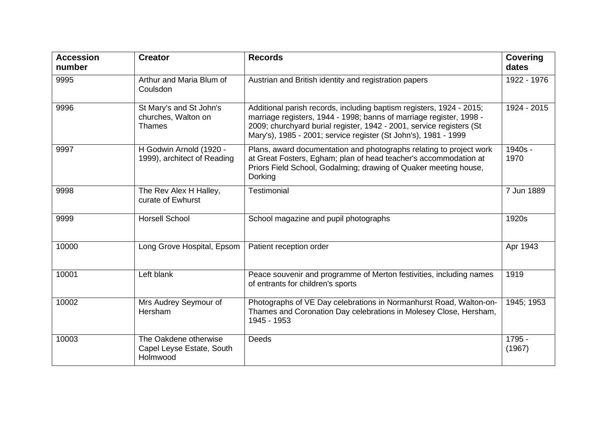| <b>Accession</b><br>number | <b>Creator</b>                                                  | <b>Records</b>                                                                                                                                                                                                                                                                         | <b>Covering</b><br>dates |
|----------------------------|-----------------------------------------------------------------|----------------------------------------------------------------------------------------------------------------------------------------------------------------------------------------------------------------------------------------------------------------------------------------|--------------------------|
| 9995                       | Arthur and Maria Blum of<br>Coulsdon                            | Austrian and British identity and registration papers                                                                                                                                                                                                                                  | 1922 - 1976              |
| 9996                       | St Mary's and St John's<br>churches, Walton on<br><b>Thames</b> | Additional parish records, including baptism registers, 1924 - 2015;<br>marriage registers, 1944 - 1998; banns of marriage register, 1998 -<br>2009; churchyard burial register, 1942 - 2001, service registers (St<br>Mary's), 1985 - 2001; service register (St John's), 1981 - 1999 | 1924 - 2015              |
| 9997                       | H Godwin Arnold (1920 -<br>1999), architect of Reading          | Plans, award documentation and photographs relating to project work<br>at Great Fosters, Egham; plan of head teacher's accommodation at<br>Priors Field School, Godalming; drawing of Quaker meeting house,<br>Dorking                                                                 | 1940s -<br>1970          |
| 9998                       | The Rev Alex H Halley,<br>curate of Ewhurst                     | Testimonial                                                                                                                                                                                                                                                                            | 7 Jun 1889               |
| 9999                       | <b>Horsell School</b>                                           | School magazine and pupil photographs                                                                                                                                                                                                                                                  | 1920s                    |
| 10000                      | Long Grove Hospital, Epsom                                      | Patient reception order                                                                                                                                                                                                                                                                | Apr 1943                 |
| 10001                      | Left blank                                                      | Peace souvenir and programme of Merton festivities, including names<br>of entrants for children's sports                                                                                                                                                                               | 1919                     |
| 10002                      | Mrs Audrey Seymour of<br>Hersham                                | Photographs of VE Day celebrations in Normanhurst Road, Walton-on-<br>Thames and Coronation Day celebrations in Molesey Close, Hersham,<br>1945 - 1953                                                                                                                                 | 1945; 1953               |
| 10003                      | The Oakdene otherwise<br>Capel Leyse Estate, South<br>Holmwood  | <b>Deeds</b>                                                                                                                                                                                                                                                                           | 1795 -<br>(1967)         |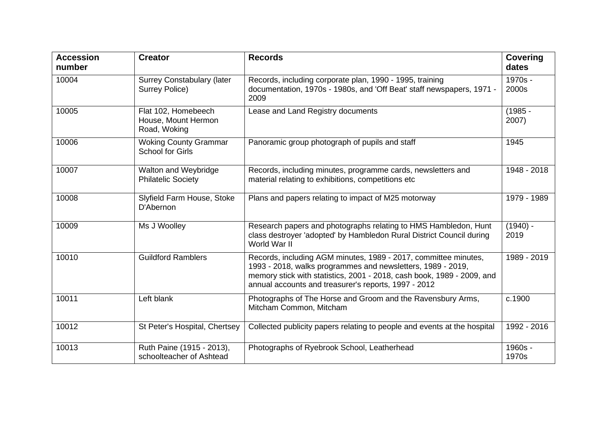| <b>Accession</b><br>number | <b>Creator</b>                                             | <b>Records</b>                                                                                                                                                                                                                                                   | <b>Covering</b><br>dates |
|----------------------------|------------------------------------------------------------|------------------------------------------------------------------------------------------------------------------------------------------------------------------------------------------------------------------------------------------------------------------|--------------------------|
| 10004                      | <b>Surrey Constabulary (later</b><br><b>Surrey Police)</b> | Records, including corporate plan, 1990 - 1995, training<br>documentation, 1970s - 1980s, and 'Off Beat' staff newspapers, 1971 -<br>2009                                                                                                                        | 1970s -<br>2000s         |
| 10005                      | Flat 102, Homebeech<br>House, Mount Hermon<br>Road, Woking | Lease and Land Registry documents                                                                                                                                                                                                                                | $(1985 -$<br>2007)       |
| 10006                      | <b>Woking County Grammar</b><br><b>School for Girls</b>    | Panoramic group photograph of pupils and staff                                                                                                                                                                                                                   | 1945                     |
| 10007                      | Walton and Weybridge<br><b>Philatelic Society</b>          | Records, including minutes, programme cards, newsletters and<br>material relating to exhibitions, competitions etc                                                                                                                                               | 1948 - 2018              |
| 10008                      | Slyfield Farm House, Stoke<br>D'Abernon                    | Plans and papers relating to impact of M25 motorway                                                                                                                                                                                                              | 1979 - 1989              |
| 10009                      | Ms J Woolley                                               | Research papers and photographs relating to HMS Hambledon, Hunt<br>class destroyer 'adopted' by Hambledon Rural District Council during<br>World War II                                                                                                          | $(1940)$ -<br>2019       |
| 10010                      | <b>Guildford Ramblers</b>                                  | Records, including AGM minutes, 1989 - 2017, committee minutes,<br>1993 - 2018, walks programmes and newsletters, 1989 - 2019,<br>memory stick with statistics, 2001 - 2018, cash book, 1989 - 2009, and<br>annual accounts and treasurer's reports, 1997 - 2012 | 1989 - 2019              |
| 10011                      | Left blank                                                 | Photographs of The Horse and Groom and the Ravensbury Arms,<br>Mitcham Common, Mitcham                                                                                                                                                                           | c.1900                   |
| 10012                      | St Peter's Hospital, Chertsey                              | Collected publicity papers relating to people and events at the hospital                                                                                                                                                                                         | 1992 - 2016              |
| 10013                      | Ruth Paine (1915 - 2013),<br>schoolteacher of Ashtead      | Photographs of Ryebrook School, Leatherhead                                                                                                                                                                                                                      | 1960s -<br>1970s         |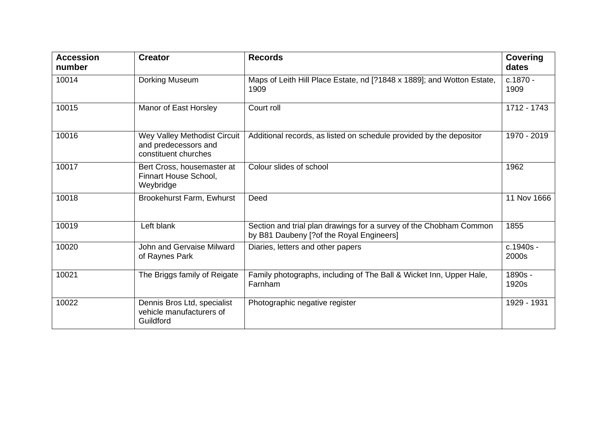| <b>Accession</b><br>number | <b>Creator</b>                                                               | <b>Records</b>                                                                                                 | <b>Covering</b><br>dates |
|----------------------------|------------------------------------------------------------------------------|----------------------------------------------------------------------------------------------------------------|--------------------------|
| 10014                      | <b>Dorking Museum</b>                                                        | Maps of Leith Hill Place Estate, nd [?1848 x 1889]; and Wotton Estate,<br>1909                                 | c.1870 -<br>1909         |
| 10015                      | Manor of East Horsley                                                        | Court roll                                                                                                     | 1712 - 1743              |
| 10016                      | Wey Valley Methodist Circuit<br>and predecessors and<br>constituent churches | Additional records, as listed on schedule provided by the depositor                                            | 1970 - 2019              |
| 10017                      | Bert Cross, housemaster at<br>Finnart House School,<br>Weybridge             | Colour slides of school                                                                                        | 1962                     |
| 10018                      | <b>Brookehurst Farm, Ewhurst</b>                                             | Deed                                                                                                           | 11 Nov 1666              |
| 10019                      | Left blank                                                                   | Section and trial plan drawings for a survey of the Chobham Common<br>by B81 Daubeny [?of the Royal Engineers] | 1855                     |
| 10020                      | John and Gervaise Milward<br>of Raynes Park                                  | Diaries, letters and other papers                                                                              | c.1940s -<br>2000s       |
| 10021                      | The Briggs family of Reigate                                                 | Family photographs, including of The Ball & Wicket Inn, Upper Hale,<br>Farnham                                 | 1890s -<br>1920s         |
| 10022                      | Dennis Bros Ltd, specialist<br>vehicle manufacturers of<br>Guildford         | Photographic negative register                                                                                 | 1929 - 1931              |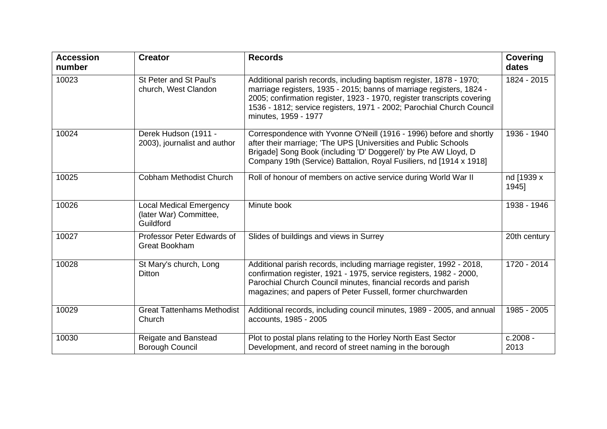| <b>Accession</b><br>number | <b>Creator</b>                                                        | <b>Records</b>                                                                                                                                                                                                                                                                                                          | <b>Covering</b><br>dates |
|----------------------------|-----------------------------------------------------------------------|-------------------------------------------------------------------------------------------------------------------------------------------------------------------------------------------------------------------------------------------------------------------------------------------------------------------------|--------------------------|
| 10023                      | St Peter and St Paul's<br>church, West Clandon                        | Additional parish records, including baptism register, 1878 - 1970;<br>marriage registers, 1935 - 2015; banns of marriage registers, 1824 -<br>2005; confirmation register, 1923 - 1970, register transcripts covering<br>1536 - 1812; service registers, 1971 - 2002; Parochial Church Council<br>minutes, 1959 - 1977 | 1824 - 2015              |
| 10024                      | Derek Hudson (1911 -<br>2003), journalist and author                  | Correspondence with Yvonne O'Neill (1916 - 1996) before and shortly<br>after their marriage; 'The UPS [Universities and Public Schools<br>Brigade] Song Book (including 'D' Doggerel)' by Pte AW Lloyd, D<br>Company 19th (Service) Battalion, Royal Fusiliers, nd [1914 x 1918]                                        | 1936 - 1940              |
| 10025                      | <b>Cobham Methodist Church</b>                                        | Roll of honour of members on active service during World War II                                                                                                                                                                                                                                                         | nd [1939 x<br>1945]      |
| 10026                      | <b>Local Medical Emergency</b><br>(later War) Committee,<br>Guildford | Minute book                                                                                                                                                                                                                                                                                                             | 1938 - 1946              |
| 10027                      | Professor Peter Edwards of<br><b>Great Bookham</b>                    | Slides of buildings and views in Surrey                                                                                                                                                                                                                                                                                 | 20th century             |
| 10028                      | St Mary's church, Long<br><b>Ditton</b>                               | Additional parish records, including marriage register, 1992 - 2018,<br>confirmation register, 1921 - 1975, service registers, 1982 - 2000,<br>Parochial Church Council minutes, financial records and parish<br>magazines; and papers of Peter Fussell, former churchwarden                                            | 1720 - 2014              |
| 10029                      | <b>Great Tattenhams Methodist</b><br>Church                           | Additional records, including council minutes, 1989 - 2005, and annual<br>accounts, 1985 - 2005                                                                                                                                                                                                                         | 1985 - 2005              |
| 10030                      | Reigate and Banstead<br><b>Borough Council</b>                        | Plot to postal plans relating to the Horley North East Sector<br>Development, and record of street naming in the borough                                                                                                                                                                                                | c.2008 -<br>2013         |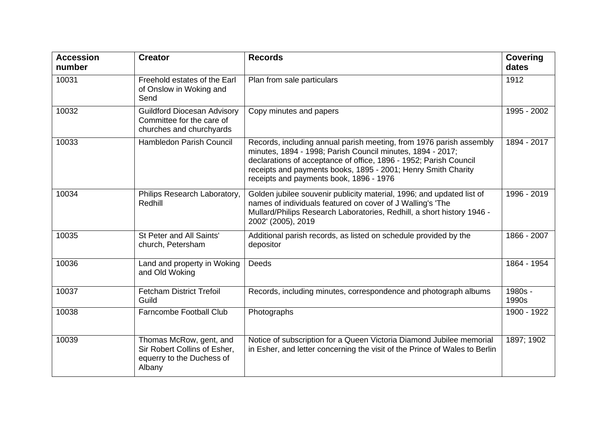| <b>Accession</b><br>number | <b>Creator</b>                                                                                 | <b>Records</b>                                                                                                                                                                                                                                                                                                     | <b>Covering</b><br>dates |
|----------------------------|------------------------------------------------------------------------------------------------|--------------------------------------------------------------------------------------------------------------------------------------------------------------------------------------------------------------------------------------------------------------------------------------------------------------------|--------------------------|
| 10031                      | Freehold estates of the Earl<br>of Onslow in Woking and<br>Send                                | Plan from sale particulars                                                                                                                                                                                                                                                                                         | 1912                     |
| 10032                      | <b>Guildford Diocesan Advisory</b><br>Committee for the care of<br>churches and churchyards    | Copy minutes and papers                                                                                                                                                                                                                                                                                            | 1995 - 2002              |
| 10033                      | <b>Hambledon Parish Council</b>                                                                | Records, including annual parish meeting, from 1976 parish assembly<br>minutes, 1894 - 1998; Parish Council minutes, 1894 - 2017;<br>declarations of acceptance of office, 1896 - 1952; Parish Council<br>receipts and payments books, 1895 - 2001; Henry Smith Charity<br>receipts and payments book, 1896 - 1976 | 1894 - 2017              |
| 10034                      | Philips Research Laboratory,<br>Redhill                                                        | Golden jubilee souvenir publicity material, 1996; and updated list of<br>names of individuals featured on cover of J Walling's 'The<br>Mullard/Philips Research Laboratories, Redhill, a short history 1946 -<br>2002' (2005), 2019                                                                                | 1996 - 2019              |
| 10035                      | St Peter and All Saints'<br>church, Petersham                                                  | Additional parish records, as listed on schedule provided by the<br>depositor                                                                                                                                                                                                                                      | 1866 - 2007              |
| 10036                      | Land and property in Woking<br>and Old Woking                                                  | Deeds                                                                                                                                                                                                                                                                                                              | 1864 - 1954              |
| 10037                      | <b>Fetcham District Trefoil</b><br>Guild                                                       | Records, including minutes, correspondence and photograph albums                                                                                                                                                                                                                                                   | 1980s -<br>1990s         |
| 10038                      | Farncombe Football Club                                                                        | Photographs                                                                                                                                                                                                                                                                                                        | 1900 - 1922              |
| 10039                      | Thomas McRow, gent, and<br>Sir Robert Collins of Esher,<br>equerry to the Duchess of<br>Albany | Notice of subscription for a Queen Victoria Diamond Jubilee memorial<br>in Esher, and letter concerning the visit of the Prince of Wales to Berlin                                                                                                                                                                 | 1897; 1902               |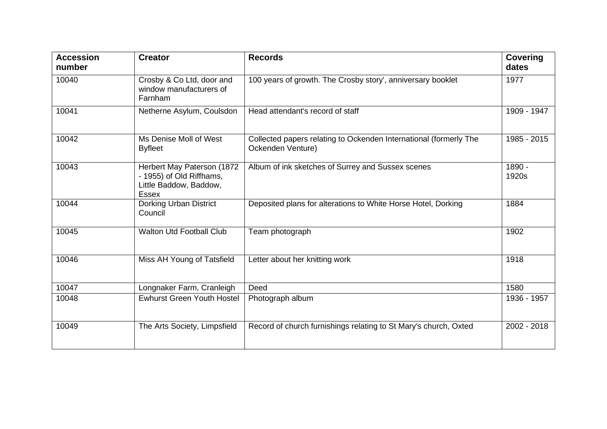| <b>Accession</b><br>number | <b>Creator</b>                                                                            | <b>Records</b>                                                                         | <b>Covering</b><br>dates |
|----------------------------|-------------------------------------------------------------------------------------------|----------------------------------------------------------------------------------------|--------------------------|
| 10040                      | Crosby & Co Ltd, door and<br>window manufacturers of<br>Farnham                           | 100 years of growth. The Crosby story', anniversary booklet                            | 1977                     |
| 10041                      | Netherne Asylum, Coulsdon                                                                 | Head attendant's record of staff                                                       | 1909 - 1947              |
| 10042                      | Ms Denise Moll of West<br><b>Byfleet</b>                                                  | Collected papers relating to Ockenden International (formerly The<br>Ockenden Venture) | 1985 - 2015              |
| 10043                      | Herbert May Paterson (1872<br>- 1955) of Old Riffhams,<br>Little Baddow, Baddow,<br>Essex | Album of ink sketches of Surrey and Sussex scenes                                      | 1890 -<br>1920s          |
| 10044                      | Dorking Urban District<br>Council                                                         | Deposited plans for alterations to White Horse Hotel, Dorking                          | 1884                     |
| 10045                      | <b>Walton Utd Football Club</b>                                                           | Team photograph                                                                        | 1902                     |
| 10046                      | Miss AH Young of Tatsfield                                                                | Letter about her knitting work                                                         | 1918                     |
| 10047                      | Longnaker Farm, Cranleigh                                                                 | Deed                                                                                   | 1580                     |
| 10048                      | <b>Ewhurst Green Youth Hostel</b>                                                         | Photograph album                                                                       | 1936 - 1957              |
| 10049                      | The Arts Society, Limpsfield                                                              | Record of church furnishings relating to St Mary's church, Oxted                       | 2002 - 2018              |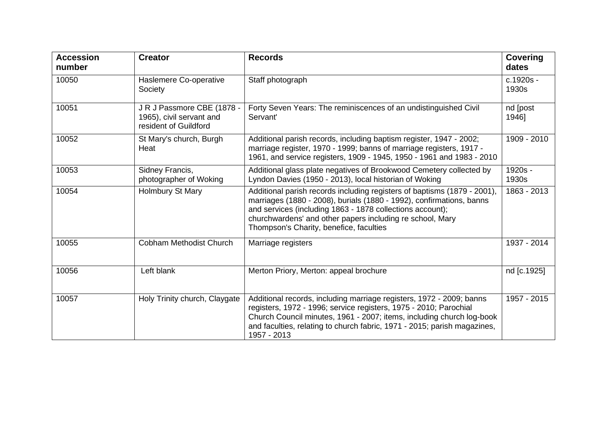| <b>Accession</b><br>number | <b>Creator</b>                                                                  | <b>Records</b>                                                                                                                                                                                                                                                                                                        | <b>Covering</b><br>dates |
|----------------------------|---------------------------------------------------------------------------------|-----------------------------------------------------------------------------------------------------------------------------------------------------------------------------------------------------------------------------------------------------------------------------------------------------------------------|--------------------------|
| 10050                      | Haslemere Co-operative<br>Society                                               | Staff photograph                                                                                                                                                                                                                                                                                                      | c.1920s -<br>1930s       |
| 10051                      | J R J Passmore CBE (1878 -<br>1965), civil servant and<br>resident of Guildford | Forty Seven Years: The reminiscences of an undistinguished Civil<br>Servant'                                                                                                                                                                                                                                          | nd [post<br>1946]        |
| 10052                      | St Mary's church, Burgh<br>Heat                                                 | Additional parish records, including baptism register, 1947 - 2002;<br>marriage register, 1970 - 1999; banns of marriage registers, 1917 -<br>1961, and service registers, 1909 - 1945, 1950 - 1961 and 1983 - 2010                                                                                                   | 1909 - 2010              |
| 10053                      | Sidney Francis,<br>photographer of Woking                                       | Additional glass plate negatives of Brookwood Cemetery collected by<br>Lyndon Davies (1950 - 2013), local historian of Woking                                                                                                                                                                                         | 1920s -<br>1930s         |
| 10054                      | Holmbury St Mary                                                                | Additional parish records including registers of baptisms (1879 - 2001),<br>marriages (1880 - 2008), burials (1880 - 1992), confirmations, banns<br>and services (including 1863 - 1878 collections account);<br>churchwardens' and other papers including re school, Mary<br>Thompson's Charity, benefice, faculties | 1863 - 2013              |
| 10055                      | <b>Cobham Methodist Church</b>                                                  | Marriage registers                                                                                                                                                                                                                                                                                                    | 1937 - 2014              |
| 10056                      | Left blank                                                                      | Merton Priory, Merton: appeal brochure                                                                                                                                                                                                                                                                                | nd [c.1925]              |
| 10057                      | Holy Trinity church, Claygate                                                   | Additional records, including marriage registers, 1972 - 2009; banns<br>registers, 1972 - 1996; service registers, 1975 - 2010; Parochial<br>Church Council minutes, 1961 - 2007; items, including church log-book<br>and faculties, relating to church fabric, 1971 - 2015; parish magazines,<br>1957 - 2013         | 1957 - 2015              |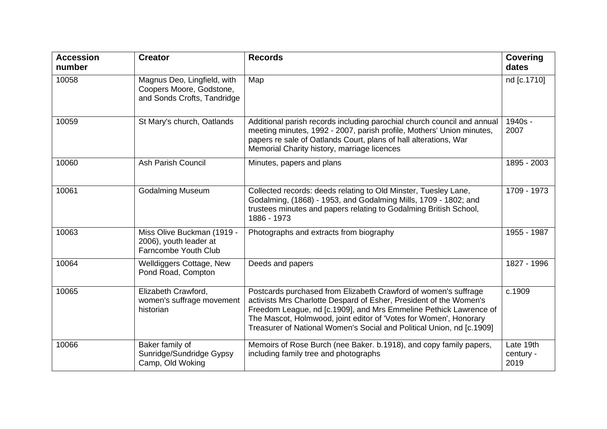| <b>Accession</b><br>number | <b>Creator</b>                                                                         | <b>Records</b>                                                                                                                                                                                                                                                                                                                                           | <b>Covering</b><br>dates       |
|----------------------------|----------------------------------------------------------------------------------------|----------------------------------------------------------------------------------------------------------------------------------------------------------------------------------------------------------------------------------------------------------------------------------------------------------------------------------------------------------|--------------------------------|
| 10058                      | Magnus Deo, Lingfield, with<br>Coopers Moore, Godstone,<br>and Sonds Crofts, Tandridge | Map                                                                                                                                                                                                                                                                                                                                                      | nd [c.1710]                    |
| 10059                      | St Mary's church, Oatlands                                                             | Additional parish records including parochial church council and annual<br>meeting minutes, 1992 - 2007, parish profile, Mothers' Union minutes,<br>papers re sale of Oatlands Court, plans of hall alterations, War<br>Memorial Charity history, marriage licences                                                                                      | 1940s -<br>2007                |
| 10060                      | Ash Parish Council                                                                     | Minutes, papers and plans                                                                                                                                                                                                                                                                                                                                | 1895 - 2003                    |
| 10061                      | <b>Godalming Museum</b>                                                                | Collected records: deeds relating to Old Minster, Tuesley Lane,<br>Godalming, (1868) - 1953, and Godalming Mills, 1709 - 1802; and<br>trustees minutes and papers relating to Godalming British School,<br>1886 - 1973                                                                                                                                   | 1709 - 1973                    |
| 10063                      | Miss Olive Buckman (1919 -<br>2006), youth leader at<br>Farncombe Youth Club           | Photographs and extracts from biography                                                                                                                                                                                                                                                                                                                  | 1955 - 1987                    |
| 10064                      | <b>Welldiggers Cottage, New</b><br>Pond Road, Compton                                  | Deeds and papers                                                                                                                                                                                                                                                                                                                                         | 1827 - 1996                    |
| 10065                      | Elizabeth Crawford,<br>women's suffrage movement<br>historian                          | Postcards purchased from Elizabeth Crawford of women's suffrage<br>activists Mrs Charlotte Despard of Esher, President of the Women's<br>Freedom League, nd [c.1909], and Mrs Emmeline Pethick Lawrence of<br>The Mascot, Holmwood, joint editor of 'Votes for Women', Honorary<br>Treasurer of National Women's Social and Political Union, nd [c.1909] | c.1909                         |
| 10066                      | Baker family of<br>Sunridge/Sundridge Gypsy<br>Camp, Old Woking                        | Memoirs of Rose Burch (nee Baker. b.1918), and copy family papers,<br>including family tree and photographs                                                                                                                                                                                                                                              | Late 19th<br>century -<br>2019 |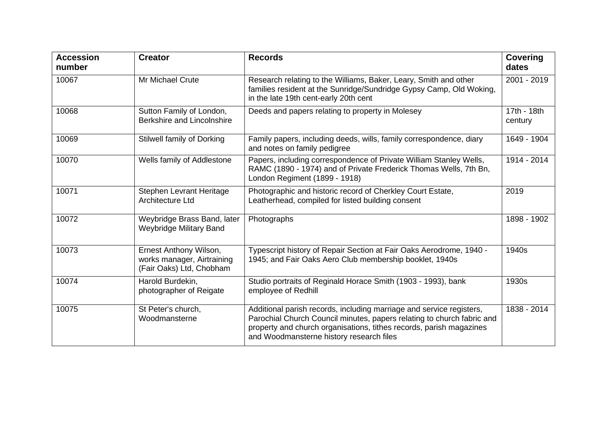| <b>Accession</b><br>number | <b>Creator</b>                                                                   | <b>Records</b>                                                                                                                                                                                                                                                    | <b>Covering</b><br>dates |
|----------------------------|----------------------------------------------------------------------------------|-------------------------------------------------------------------------------------------------------------------------------------------------------------------------------------------------------------------------------------------------------------------|--------------------------|
| 10067                      | Mr Michael Crute                                                                 | Research relating to the Williams, Baker, Leary, Smith and other<br>families resident at the Sunridge/Sundridge Gypsy Camp, Old Woking,<br>in the late 19th cent-early 20th cent                                                                                  | 2001 - 2019              |
| 10068                      | Sutton Family of London,<br>Berkshire and Lincolnshire                           | Deeds and papers relating to property in Molesey                                                                                                                                                                                                                  | 17th - 18th<br>century   |
| 10069                      | <b>Stilwell family of Dorking</b>                                                | Family papers, including deeds, wills, family correspondence, diary<br>and notes on family pedigree                                                                                                                                                               | 1649 - 1904              |
| 10070                      | Wells family of Addlestone                                                       | Papers, including correspondence of Private William Stanley Wells,<br>RAMC (1890 - 1974) and of Private Frederick Thomas Wells, 7th Bn,<br>London Regiment (1899 - 1918)                                                                                          | 1914 - 2014              |
| 10071                      | Stephen Levrant Heritage<br>Architecture Ltd                                     | Photographic and historic record of Cherkley Court Estate,<br>Leatherhead, compiled for listed building consent                                                                                                                                                   | 2019                     |
| 10072                      | Weybridge Brass Band, later<br><b>Weybridge Military Band</b>                    | Photographs                                                                                                                                                                                                                                                       | 1898 - 1902              |
| 10073                      | Ernest Anthony Wilson,<br>works manager, Airtraining<br>(Fair Oaks) Ltd, Chobham | Typescript history of Repair Section at Fair Oaks Aerodrome, 1940 -<br>1945; and Fair Oaks Aero Club membership booklet, 1940s                                                                                                                                    | 1940s                    |
| 10074                      | Harold Burdekin,<br>photographer of Reigate                                      | Studio portraits of Reginald Horace Smith (1903 - 1993), bank<br>employee of Redhill                                                                                                                                                                              | 1930s                    |
| 10075                      | St Peter's church,<br>Woodmansterne                                              | Additional parish records, including marriage and service registers,<br>Parochial Church Council minutes, papers relating to church fabric and<br>property and church organisations, tithes records, parish magazines<br>and Woodmansterne history research files | 1838 - 2014              |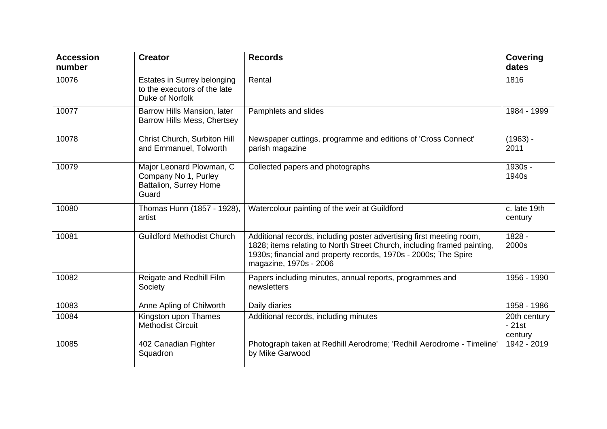| <b>Accession</b><br>number | <b>Creator</b>                                                                      | <b>Records</b>                                                                                                                                                                                                                               | <b>Covering</b><br>dates           |
|----------------------------|-------------------------------------------------------------------------------------|----------------------------------------------------------------------------------------------------------------------------------------------------------------------------------------------------------------------------------------------|------------------------------------|
| 10076                      | Estates in Surrey belonging<br>to the executors of the late<br>Duke of Norfolk      | Rental                                                                                                                                                                                                                                       | 1816                               |
| 10077                      | Barrow Hills Mansion, later<br>Barrow Hills Mess, Chertsey                          | Pamphlets and slides                                                                                                                                                                                                                         | 1984 - 1999                        |
| 10078                      | Christ Church, Surbiton Hill<br>and Emmanuel, Tolworth                              | Newspaper cuttings, programme and editions of 'Cross Connect'<br>parish magazine                                                                                                                                                             | $(1963) -$<br>2011                 |
| 10079                      | Major Leonard Plowman, C<br>Company No 1, Purley<br>Battalion, Surrey Home<br>Guard | Collected papers and photographs                                                                                                                                                                                                             | 1930s -<br>1940s                   |
| 10080                      | Thomas Hunn (1857 - 1928),<br>artist                                                | Watercolour painting of the weir at Guildford                                                                                                                                                                                                | c. late 19th<br>century            |
| 10081                      | <b>Guildford Methodist Church</b>                                                   | Additional records, including poster advertising first meeting room,<br>1828; items relating to North Street Church, including framed painting,<br>1930s; financial and property records, 1970s - 2000s; The Spire<br>magazine, 1970s - 2006 | 1828 -<br>2000s                    |
| 10082                      | Reigate and Redhill Film<br>Society                                                 | Papers including minutes, annual reports, programmes and<br>newsletters                                                                                                                                                                      | 1956 - 1990                        |
| 10083                      | Anne Apling of Chilworth                                                            | Daily diaries                                                                                                                                                                                                                                | 1958 - 1986                        |
| 10084                      | Kingston upon Thames<br><b>Methodist Circuit</b>                                    | Additional records, including minutes                                                                                                                                                                                                        | 20th century<br>$-21st$<br>century |
| 10085                      | 402 Canadian Fighter<br>Squadron                                                    | Photograph taken at Redhill Aerodrome; 'Redhill Aerodrome - Timeline'<br>by Mike Garwood                                                                                                                                                     | 1942 - 2019                        |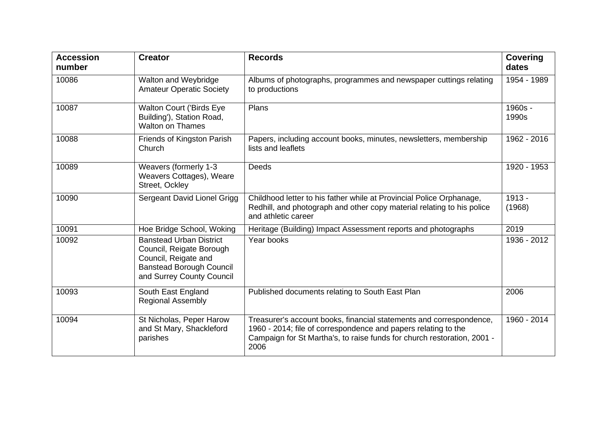| <b>Accession</b><br>number | <b>Creator</b>                                                                                                                                     | <b>Records</b>                                                                                                                                                                                                           | <b>Covering</b><br>dates |
|----------------------------|----------------------------------------------------------------------------------------------------------------------------------------------------|--------------------------------------------------------------------------------------------------------------------------------------------------------------------------------------------------------------------------|--------------------------|
| 10086                      | Walton and Weybridge<br><b>Amateur Operatic Society</b>                                                                                            | Albums of photographs, programmes and newspaper cuttings relating<br>to productions                                                                                                                                      | 1954 - 1989              |
| 10087                      | <b>Walton Court ('Birds Eye</b><br>Building'), Station Road,<br><b>Walton on Thames</b>                                                            | Plans                                                                                                                                                                                                                    | 1960s -<br>1990s         |
| 10088                      | Friends of Kingston Parish<br>Church                                                                                                               | Papers, including account books, minutes, newsletters, membership<br>lists and leaflets                                                                                                                                  | 1962 - 2016              |
| 10089                      | Weavers (formerly 1-3<br>Weavers Cottages), Weare<br>Street, Ockley                                                                                | Deeds                                                                                                                                                                                                                    | 1920 - 1953              |
| 10090                      | Sergeant David Lionel Grigg                                                                                                                        | Childhood letter to his father while at Provincial Police Orphanage,<br>Redhill, and photograph and other copy material relating to his police<br>and athletic career                                                    | 1913 -<br>(1968)         |
| 10091                      | Hoe Bridge School, Woking                                                                                                                          | Heritage (Building) Impact Assessment reports and photographs                                                                                                                                                            | 2019                     |
| 10092                      | <b>Banstead Urban District</b><br>Council, Reigate Borough<br>Council, Reigate and<br><b>Banstead Borough Council</b><br>and Surrey County Council | Year books                                                                                                                                                                                                               | 1936 - 2012              |
| 10093                      | South East England<br><b>Regional Assembly</b>                                                                                                     | Published documents relating to South East Plan                                                                                                                                                                          | 2006                     |
| 10094                      | St Nicholas, Peper Harow<br>and St Mary, Shackleford<br>parishes                                                                                   | Treasurer's account books, financial statements and correspondence,<br>1960 - 2014; file of correspondence and papers relating to the<br>Campaign for St Martha's, to raise funds for church restoration, 2001 -<br>2006 | 1960 - 2014              |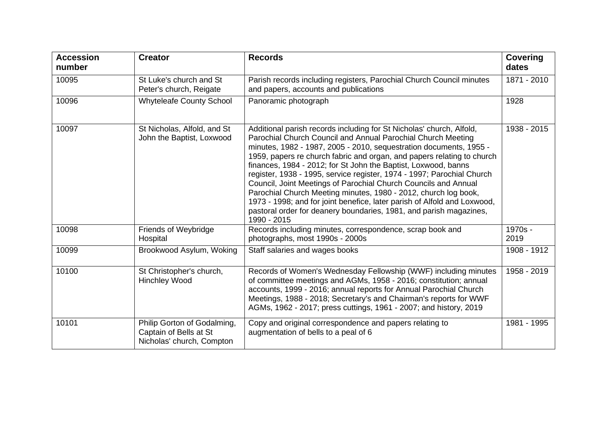| <b>Accession</b><br>number | <b>Creator</b>                                                                     | <b>Records</b>                                                                                                                                                                                                                                                                                                                                                                                                                                                                                                                                                                                                                                                                                                                          | <b>Covering</b><br>dates |
|----------------------------|------------------------------------------------------------------------------------|-----------------------------------------------------------------------------------------------------------------------------------------------------------------------------------------------------------------------------------------------------------------------------------------------------------------------------------------------------------------------------------------------------------------------------------------------------------------------------------------------------------------------------------------------------------------------------------------------------------------------------------------------------------------------------------------------------------------------------------------|--------------------------|
| 10095                      | St Luke's church and St<br>Peter's church, Reigate                                 | Parish records including registers, Parochial Church Council minutes<br>and papers, accounts and publications                                                                                                                                                                                                                                                                                                                                                                                                                                                                                                                                                                                                                           | 1871 - 2010              |
| 10096                      | <b>Whyteleafe County School</b>                                                    | Panoramic photograph                                                                                                                                                                                                                                                                                                                                                                                                                                                                                                                                                                                                                                                                                                                    | 1928                     |
| 10097                      | St Nicholas, Alfold, and St<br>John the Baptist, Loxwood                           | Additional parish records including for St Nicholas' church, Alfold,<br>Parochial Church Council and Annual Parochial Church Meeting<br>minutes, 1982 - 1987, 2005 - 2010, sequestration documents, 1955 -<br>1959, papers re church fabric and organ, and papers relating to church<br>finances, 1984 - 2012; for St John the Baptist, Loxwood, banns<br>register, 1938 - 1995, service register, 1974 - 1997; Parochial Church<br>Council, Joint Meetings of Parochial Church Councils and Annual<br>Parochial Church Meeting minutes, 1980 - 2012, church log book,<br>1973 - 1998; and for joint benefice, later parish of Alfold and Loxwood,<br>pastoral order for deanery boundaries, 1981, and parish magazines,<br>1990 - 2015 | 1938 - 2015              |
| 10098                      | Friends of Weybridge<br>Hospital                                                   | Records including minutes, correspondence, scrap book and<br>photographs, most 1990s - 2000s                                                                                                                                                                                                                                                                                                                                                                                                                                                                                                                                                                                                                                            | 1970s -<br>2019          |
| 10099                      | Brookwood Asylum, Woking                                                           | Staff salaries and wages books                                                                                                                                                                                                                                                                                                                                                                                                                                                                                                                                                                                                                                                                                                          | 1908 - 1912              |
| 10100                      | St Christopher's church,<br><b>Hinchley Wood</b>                                   | Records of Women's Wednesday Fellowship (WWF) including minutes<br>of committee meetings and AGMs, 1958 - 2016; constitution; annual<br>accounts, 1999 - 2016; annual reports for Annual Parochial Church<br>Meetings, 1988 - 2018; Secretary's and Chairman's reports for WWF<br>AGMs, 1962 - 2017; press cuttings, 1961 - 2007; and history, 2019                                                                                                                                                                                                                                                                                                                                                                                     | 1958 - 2019              |
| 10101                      | Philip Gorton of Godalming,<br>Captain of Bells at St<br>Nicholas' church, Compton | Copy and original correspondence and papers relating to<br>augmentation of bells to a peal of 6                                                                                                                                                                                                                                                                                                                                                                                                                                                                                                                                                                                                                                         | 1981 - 1995              |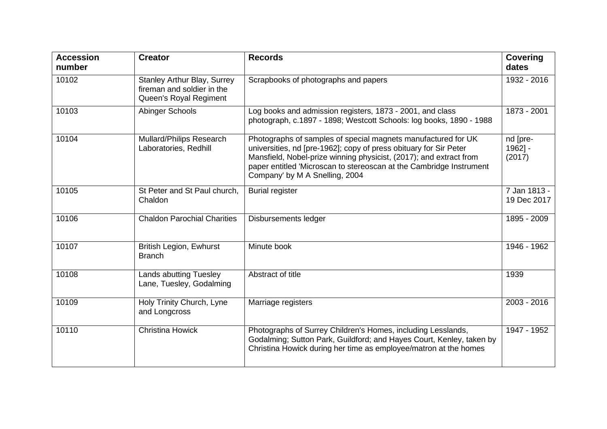| <b>Accession</b><br>number | <b>Creator</b>                                                                             | <b>Records</b>                                                                                                                                                                                                                                                                                                    | <b>Covering</b><br>dates         |
|----------------------------|--------------------------------------------------------------------------------------------|-------------------------------------------------------------------------------------------------------------------------------------------------------------------------------------------------------------------------------------------------------------------------------------------------------------------|----------------------------------|
| 10102                      | <b>Stanley Arthur Blay, Surrey</b><br>fireman and soldier in the<br>Queen's Royal Regiment | Scrapbooks of photographs and papers                                                                                                                                                                                                                                                                              | 1932 - 2016                      |
| 10103                      | Abinger Schools                                                                            | Log books and admission registers, 1873 - 2001, and class<br>photograph, c.1897 - 1898; Westcott Schools: log books, 1890 - 1988                                                                                                                                                                                  | 1873 - 2001                      |
| 10104                      | <b>Mullard/Philips Research</b><br>Laboratories, Redhill                                   | Photographs of samples of special magnets manufactured for UK<br>universities, nd [pre-1962]; copy of press obituary for Sir Peter<br>Mansfield, Nobel-prize winning physicist, (2017); and extract from<br>paper entitled 'Microscan to stereoscan at the Cambridge Instrument<br>Company' by M A Snelling, 2004 | nd [pre-<br>$1962$ ] -<br>(2017) |
| 10105                      | St Peter and St Paul church,<br>Chaldon                                                    | <b>Burial register</b>                                                                                                                                                                                                                                                                                            | 7 Jan 1813 -<br>19 Dec 2017      |
| 10106                      | <b>Chaldon Parochial Charities</b>                                                         | Disbursements ledger                                                                                                                                                                                                                                                                                              | 1895 - 2009                      |
| 10107                      | <b>British Legion, Ewhurst</b><br><b>Branch</b>                                            | Minute book                                                                                                                                                                                                                                                                                                       | 1946 - 1962                      |
| 10108                      | <b>Lands abutting Tuesley</b><br>Lane, Tuesley, Godalming                                  | Abstract of title                                                                                                                                                                                                                                                                                                 | 1939                             |
| 10109                      | Holy Trinity Church, Lyne<br>and Longcross                                                 | Marriage registers                                                                                                                                                                                                                                                                                                | 2003 - 2016                      |
| 10110                      | <b>Christina Howick</b>                                                                    | Photographs of Surrey Children's Homes, including Lesslands,<br>Godalming; Sutton Park, Guildford; and Hayes Court, Kenley, taken by<br>Christina Howick during her time as employee/matron at the homes                                                                                                          | 1947 - 1952                      |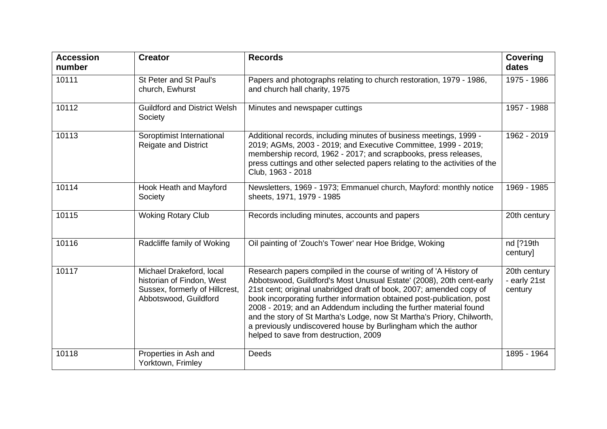| <b>Accession</b><br>number | <b>Creator</b>                                                                                                   | <b>Records</b>                                                                                                                                                                                                                                                                                                                                                                                                                                                                                                                                        | <b>Covering</b><br>dates                |
|----------------------------|------------------------------------------------------------------------------------------------------------------|-------------------------------------------------------------------------------------------------------------------------------------------------------------------------------------------------------------------------------------------------------------------------------------------------------------------------------------------------------------------------------------------------------------------------------------------------------------------------------------------------------------------------------------------------------|-----------------------------------------|
| 10111                      | St Peter and St Paul's<br>church, Ewhurst                                                                        | Papers and photographs relating to church restoration, 1979 - 1986,<br>and church hall charity, 1975                                                                                                                                                                                                                                                                                                                                                                                                                                                  | 1975 - 1986                             |
| 10112                      | <b>Guildford and District Welsh</b><br>Society                                                                   | Minutes and newspaper cuttings                                                                                                                                                                                                                                                                                                                                                                                                                                                                                                                        | 1957 - 1988                             |
| 10113                      | Soroptimist International<br><b>Reigate and District</b>                                                         | Additional records, including minutes of business meetings, 1999 -<br>2019; AGMs, 2003 - 2019; and Executive Committee, 1999 - 2019;<br>membership record, 1962 - 2017; and scrapbooks, press releases,<br>press cuttings and other selected papers relating to the activities of the<br>Club, 1963 - 2018                                                                                                                                                                                                                                            | 1962 - 2019                             |
| 10114                      | Hook Heath and Mayford<br>Society                                                                                | Newsletters, 1969 - 1973; Emmanuel church, Mayford: monthly notice<br>sheets, 1971, 1979 - 1985                                                                                                                                                                                                                                                                                                                                                                                                                                                       | 1969 - 1985                             |
| 10115                      | <b>Woking Rotary Club</b>                                                                                        | Records including minutes, accounts and papers                                                                                                                                                                                                                                                                                                                                                                                                                                                                                                        | 20th century                            |
| 10116                      | Radcliffe family of Woking                                                                                       | Oil painting of 'Zouch's Tower' near Hoe Bridge, Woking                                                                                                                                                                                                                                                                                                                                                                                                                                                                                               | nd [?19th<br>century]                   |
| 10117                      | Michael Drakeford, local<br>historian of Findon, West<br>Sussex, formerly of Hillcrest,<br>Abbotswood, Guildford | Research papers compiled in the course of writing of 'A History of<br>Abbotswood, Guildford's Most Unusual Estate' (2008), 20th cent-early<br>21st cent; original unabridged draft of book, 2007; amended copy of<br>book incorporating further information obtained post-publication, post<br>2008 - 2019; and an Addendum including the further material found<br>and the story of St Martha's Lodge, now St Martha's Priory, Chilworth,<br>a previously undiscovered house by Burlingham which the author<br>helped to save from destruction, 2009 | 20th century<br>- early 21st<br>century |
| 10118                      | Properties in Ash and<br>Yorktown, Frimley                                                                       | Deeds                                                                                                                                                                                                                                                                                                                                                                                                                                                                                                                                                 | 1895 - 1964                             |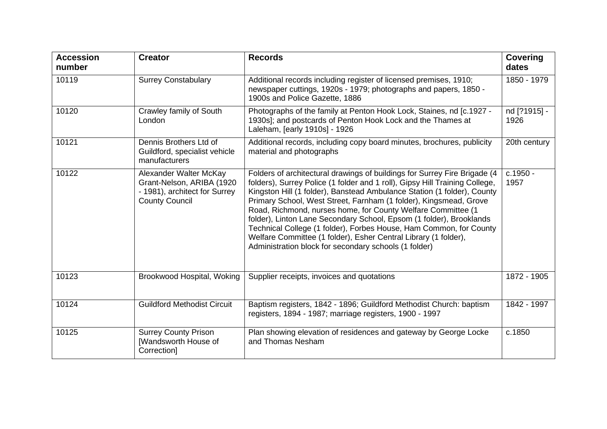| <b>Accession</b><br>number | <b>Creator</b>                                                                                                | <b>Records</b>                                                                                                                                                                                                                                                                                                                                                                                                                                                                                                                                                                                                                                     | <b>Covering</b><br>dates |
|----------------------------|---------------------------------------------------------------------------------------------------------------|----------------------------------------------------------------------------------------------------------------------------------------------------------------------------------------------------------------------------------------------------------------------------------------------------------------------------------------------------------------------------------------------------------------------------------------------------------------------------------------------------------------------------------------------------------------------------------------------------------------------------------------------------|--------------------------|
| 10119                      | <b>Surrey Constabulary</b>                                                                                    | Additional records including register of licensed premises, 1910;<br>newspaper cuttings, 1920s - 1979; photographs and papers, 1850 -<br>1900s and Police Gazette, 1886                                                                                                                                                                                                                                                                                                                                                                                                                                                                            | 1850 - 1979              |
| 10120                      | Crawley family of South<br>London                                                                             | Photographs of the family at Penton Hook Lock, Staines, nd [c.1927 -<br>1930s]; and postcards of Penton Hook Lock and the Thames at<br>Laleham, [early 1910s] - 1926                                                                                                                                                                                                                                                                                                                                                                                                                                                                               | nd [?1915] -<br>1926     |
| 10121                      | Dennis Brothers Ltd of<br>Guildford, specialist vehicle<br>manufacturers                                      | Additional records, including copy board minutes, brochures, publicity<br>material and photographs                                                                                                                                                                                                                                                                                                                                                                                                                                                                                                                                                 | 20th century             |
| 10122                      | Alexander Walter McKay<br>Grant-Nelson, ARIBA (1920<br>- 1981), architect for Surrey<br><b>County Council</b> | Folders of architectural drawings of buildings for Surrey Fire Brigade (4<br>folders), Surrey Police (1 folder and 1 roll), Gipsy Hill Training College,<br>Kingston Hill (1 folder), Banstead Ambulance Station (1 folder), County<br>Primary School, West Street, Farnham (1 folder), Kingsmead, Grove<br>Road, Richmond, nurses home, for County Welfare Committee (1)<br>folder), Linton Lane Secondary School, Epsom (1 folder), Brooklands<br>Technical College (1 folder), Forbes House, Ham Common, for County<br>Welfare Committee (1 folder), Esher Central Library (1 folder),<br>Administration block for secondary schools (1 folder) | c.1950 -<br>1957         |
| 10123                      | Brookwood Hospital, Woking                                                                                    | Supplier receipts, invoices and quotations                                                                                                                                                                                                                                                                                                                                                                                                                                                                                                                                                                                                         | 1872 - 1905              |
| 10124                      | <b>Guildford Methodist Circuit</b>                                                                            | Baptism registers, 1842 - 1896; Guildford Methodist Church: baptism<br>registers, 1894 - 1987; marriage registers, 1900 - 1997                                                                                                                                                                                                                                                                                                                                                                                                                                                                                                                     | 1842 - 1997              |
| 10125                      | <b>Surrey County Prison</b><br>[Wandsworth House of<br>Correction]                                            | Plan showing elevation of residences and gateway by George Locke<br>and Thomas Nesham                                                                                                                                                                                                                                                                                                                                                                                                                                                                                                                                                              | c.1850                   |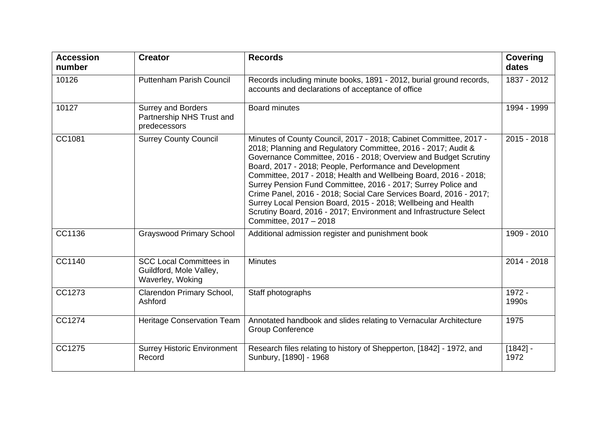| <b>Accession</b><br>number | <b>Creator</b>                                                                | <b>Records</b>                                                                                                                                                                                                                                                                                                                                                                                                                                                                                                                                                                                                                               | <b>Covering</b><br>dates |
|----------------------------|-------------------------------------------------------------------------------|----------------------------------------------------------------------------------------------------------------------------------------------------------------------------------------------------------------------------------------------------------------------------------------------------------------------------------------------------------------------------------------------------------------------------------------------------------------------------------------------------------------------------------------------------------------------------------------------------------------------------------------------|--------------------------|
| 10126                      | <b>Puttenham Parish Council</b>                                               | Records including minute books, 1891 - 2012, burial ground records,<br>accounts and declarations of acceptance of office                                                                                                                                                                                                                                                                                                                                                                                                                                                                                                                     | 1837 - 2012              |
| 10127                      | <b>Surrey and Borders</b><br>Partnership NHS Trust and<br>predecessors        | <b>Board minutes</b>                                                                                                                                                                                                                                                                                                                                                                                                                                                                                                                                                                                                                         | 1994 - 1999              |
| CC1081                     | <b>Surrey County Council</b>                                                  | Minutes of County Council, 2017 - 2018; Cabinet Committee, 2017 -<br>2018; Planning and Regulatory Committee, 2016 - 2017; Audit &<br>Governance Committee, 2016 - 2018; Overview and Budget Scrutiny<br>Board, 2017 - 2018; People, Performance and Development<br>Committee, 2017 - 2018; Health and Wellbeing Board, 2016 - 2018;<br>Surrey Pension Fund Committee, 2016 - 2017; Surrey Police and<br>Crime Panel, 2016 - 2018; Social Care Services Board, 2016 - 2017;<br>Surrey Local Pension Board, 2015 - 2018; Wellbeing and Health<br>Scrutiny Board, 2016 - 2017; Environment and Infrastructure Select<br>Committee, 2017 - 2018 | $2015 - 2018$            |
| CC1136                     | <b>Grayswood Primary School</b>                                               | Additional admission register and punishment book                                                                                                                                                                                                                                                                                                                                                                                                                                                                                                                                                                                            | 1909 - 2010              |
| CC1140                     | <b>SCC Local Committees in</b><br>Guildford, Mole Valley,<br>Waverley, Woking | <b>Minutes</b>                                                                                                                                                                                                                                                                                                                                                                                                                                                                                                                                                                                                                               | 2014 - 2018              |
| CC1273                     | Clarendon Primary School,<br>Ashford                                          | Staff photographs                                                                                                                                                                                                                                                                                                                                                                                                                                                                                                                                                                                                                            | 1972 -<br>1990s          |
| CC1274                     | <b>Heritage Conservation Team</b>                                             | Annotated handbook and slides relating to Vernacular Architecture<br><b>Group Conference</b>                                                                                                                                                                                                                                                                                                                                                                                                                                                                                                                                                 | 1975                     |
| CC1275                     | <b>Surrey Historic Environment</b><br>Record                                  | Research files relating to history of Shepperton, [1842] - 1972, and<br>Sunbury, [1890] - 1968                                                                                                                                                                                                                                                                                                                                                                                                                                                                                                                                               | $[1842] -$<br>1972       |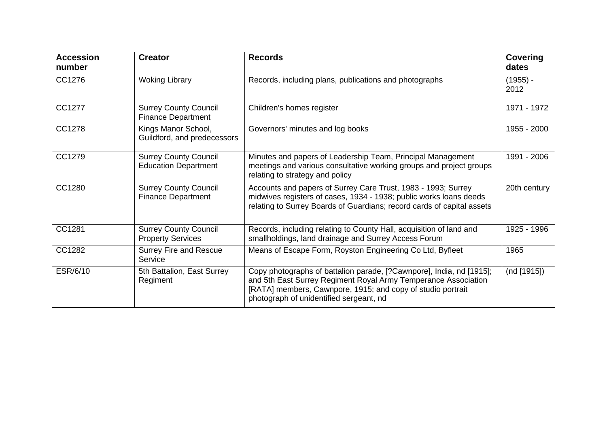| <b>Accession</b><br>number | <b>Creator</b>                                              | <b>Records</b>                                                                                                                                                                                                                                   | <b>Covering</b><br>dates |
|----------------------------|-------------------------------------------------------------|--------------------------------------------------------------------------------------------------------------------------------------------------------------------------------------------------------------------------------------------------|--------------------------|
| CC1276                     | <b>Woking Library</b>                                       | Records, including plans, publications and photographs                                                                                                                                                                                           | $(1955) -$<br>2012       |
| CC1277                     | <b>Surrey County Council</b><br><b>Finance Department</b>   | Children's homes register                                                                                                                                                                                                                        | 1971 - 1972              |
| CC1278                     | Kings Manor School,<br>Guildford, and predecessors          | Governors' minutes and log books                                                                                                                                                                                                                 | 1955 - 2000              |
| CC1279                     | <b>Surrey County Council</b><br><b>Education Department</b> | Minutes and papers of Leadership Team, Principal Management<br>meetings and various consultative working groups and project groups<br>relating to strategy and policy                                                                            | 1991 - 2006              |
| CC1280                     | <b>Surrey County Council</b><br><b>Finance Department</b>   | Accounts and papers of Surrey Care Trust, 1983 - 1993; Surrey<br>midwives registers of cases, 1934 - 1938; public works loans deeds<br>relating to Surrey Boards of Guardians; record cards of capital assets                                    | 20th century             |
| CC1281                     | <b>Surrey County Council</b><br><b>Property Services</b>    | Records, including relating to County Hall, acquisition of land and<br>smallholdings, land drainage and Surrey Access Forum                                                                                                                      | 1925 - 1996              |
| CC1282                     | <b>Surrey Fire and Rescue</b><br>Service                    | Means of Escape Form, Royston Engineering Co Ltd, Byfleet                                                                                                                                                                                        | 1965                     |
| ESR/6/10                   | 5th Battalion, East Surrey<br>Regiment                      | Copy photographs of battalion parade, [?Cawnpore], India, nd [1915];<br>and 5th East Surrey Regiment Royal Army Temperance Association<br>[RATA] members, Cawnpore, 1915; and copy of studio portrait<br>photograph of unidentified sergeant, nd | (nd [1915])              |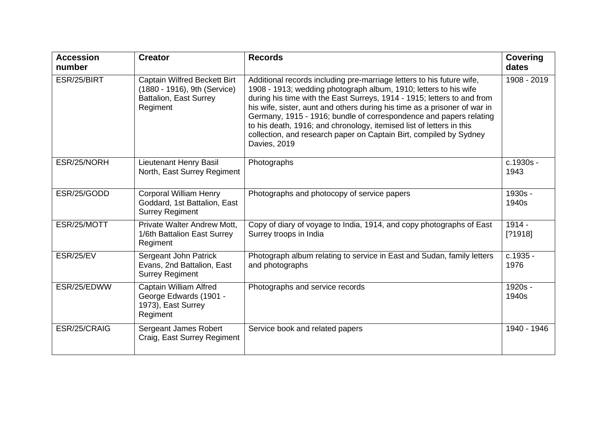| <b>Accession</b><br>number | <b>Creator</b>                                                                                                   | <b>Records</b>                                                                                                                                                                                                                                                                                                                                                                                                                                                                                                                        | <b>Covering</b><br>dates |
|----------------------------|------------------------------------------------------------------------------------------------------------------|---------------------------------------------------------------------------------------------------------------------------------------------------------------------------------------------------------------------------------------------------------------------------------------------------------------------------------------------------------------------------------------------------------------------------------------------------------------------------------------------------------------------------------------|--------------------------|
| ESR/25/BIRT                | <b>Captain Wilfred Beckett Birt</b><br>(1880 - 1916), 9th (Service)<br><b>Battalion, East Surrey</b><br>Regiment | Additional records including pre-marriage letters to his future wife,<br>1908 - 1913; wedding photograph album, 1910; letters to his wife<br>during his time with the East Surreys, 1914 - 1915; letters to and from<br>his wife, sister, aunt and others during his time as a prisoner of war in<br>Germany, 1915 - 1916; bundle of correspondence and papers relating<br>to his death, 1916; and chronology, itemised list of letters in this<br>collection, and research paper on Captain Birt, compiled by Sydney<br>Davies, 2019 | 1908 - 2019              |
| ESR/25/NORH                | Lieutenant Henry Basil<br>North, East Surrey Regiment                                                            | Photographs                                                                                                                                                                                                                                                                                                                                                                                                                                                                                                                           | c.1930s -<br>1943        |
| ESR/25/GODD                | <b>Corporal William Henry</b><br>Goddard, 1st Battalion, East<br><b>Surrey Regiment</b>                          | Photographs and photocopy of service papers                                                                                                                                                                                                                                                                                                                                                                                                                                                                                           | 1930s -<br>1940s         |
| ESR/25/MOTT                | Private Walter Andrew Mott,<br>1/6th Battalion East Surrey<br>Regiment                                           | Copy of diary of voyage to India, 1914, and copy photographs of East<br>Surrey troops in India                                                                                                                                                                                                                                                                                                                                                                                                                                        | $1914 -$<br>[?1918]      |
| ESR/25/EV                  | Sergeant John Patrick<br>Evans, 2nd Battalion, East<br><b>Surrey Regiment</b>                                    | Photograph album relating to service in East and Sudan, family letters<br>and photographs                                                                                                                                                                                                                                                                                                                                                                                                                                             | c.1935 -<br>1976         |
| ESR/25/EDWW                | <b>Captain William Alfred</b><br>George Edwards (1901 -<br>1973), East Surrey<br>Regiment                        | Photographs and service records                                                                                                                                                                                                                                                                                                                                                                                                                                                                                                       | 1920s -<br>1940s         |
| ESR/25/CRAIG               | Sergeant James Robert<br>Craig, East Surrey Regiment                                                             | Service book and related papers                                                                                                                                                                                                                                                                                                                                                                                                                                                                                                       | 1940 - 1946              |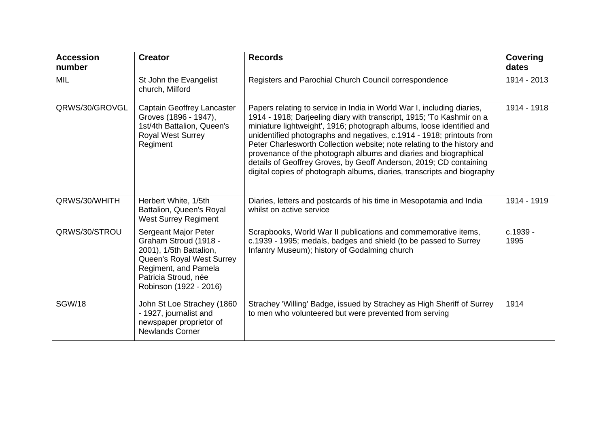| <b>Accession</b><br>number | <b>Creator</b>                                                                                                                                                                  | <b>Records</b>                                                                                                                                                                                                                                                                                                                                                                                                                                                                                                                                                                                    | <b>Covering</b><br>dates |
|----------------------------|---------------------------------------------------------------------------------------------------------------------------------------------------------------------------------|---------------------------------------------------------------------------------------------------------------------------------------------------------------------------------------------------------------------------------------------------------------------------------------------------------------------------------------------------------------------------------------------------------------------------------------------------------------------------------------------------------------------------------------------------------------------------------------------------|--------------------------|
| <b>MIL</b>                 | St John the Evangelist<br>church, Milford                                                                                                                                       | Registers and Parochial Church Council correspondence                                                                                                                                                                                                                                                                                                                                                                                                                                                                                                                                             | 1914 - 2013              |
| QRWS/30/GROVGL             | Captain Geoffrey Lancaster<br>Groves (1896 - 1947),<br>1st/4th Battalion, Queen's<br><b>Royal West Surrey</b><br>Regiment                                                       | Papers relating to service in India in World War I, including diaries,<br>1914 - 1918; Darjeeling diary with transcript, 1915; 'To Kashmir on a<br>miniature lightweight', 1916; photograph albums, loose identified and<br>unidentified photographs and negatives, c.1914 - 1918; printouts from<br>Peter Charlesworth Collection website; note relating to the history and<br>provenance of the photograph albums and diaries and biographical<br>details of Geoffrey Groves, by Geoff Anderson, 2019; CD containing<br>digital copies of photograph albums, diaries, transcripts and biography | 1914 - 1918              |
| QRWS/30/WHITH              | Herbert White, 1/5th<br>Battalion, Queen's Royal<br><b>West Surrey Regiment</b>                                                                                                 | Diaries, letters and postcards of his time in Mesopotamia and India<br>whilst on active service                                                                                                                                                                                                                                                                                                                                                                                                                                                                                                   | 1914 - 1919              |
| QRWS/30/STROU              | Sergeant Major Peter<br>Graham Stroud (1918 -<br>2001), 1/5th Battalion,<br>Queen's Royal West Surrey<br>Regiment, and Pamela<br>Patricia Stroud, née<br>Robinson (1922 - 2016) | Scrapbooks, World War II publications and commemorative items,<br>c.1939 - 1995; medals, badges and shield (to be passed to Surrey<br>Infantry Museum); history of Godalming church                                                                                                                                                                                                                                                                                                                                                                                                               | c.1939 -<br>1995         |
| <b>SGW/18</b>              | John St Loe Strachey (1860<br>- 1927, journalist and<br>newspaper proprietor of<br><b>Newlands Corner</b>                                                                       | Strachey 'Willing' Badge, issued by Strachey as High Sheriff of Surrey<br>to men who volunteered but were prevented from serving                                                                                                                                                                                                                                                                                                                                                                                                                                                                  | 1914                     |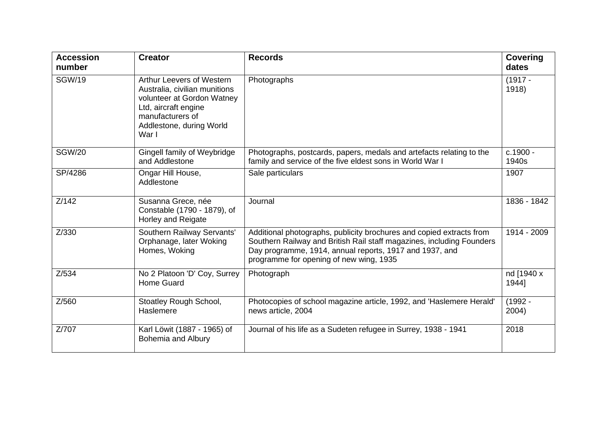| <b>Accession</b><br>number | <b>Creator</b>                                                                                                                                                            | <b>Records</b>                                                                                                                                                                                                                                      | <b>Covering</b><br>dates |
|----------------------------|---------------------------------------------------------------------------------------------------------------------------------------------------------------------------|-----------------------------------------------------------------------------------------------------------------------------------------------------------------------------------------------------------------------------------------------------|--------------------------|
| <b>SGW/19</b>              | Arthur Leevers of Western<br>Australia, civilian munitions<br>volunteer at Gordon Watney<br>Ltd, aircraft engine<br>manufacturers of<br>Addlestone, during World<br>War I | Photographs                                                                                                                                                                                                                                         | $(1917 -$<br>1918)       |
| <b>SGW/20</b>              | Gingell family of Weybridge<br>and Addlestone                                                                                                                             | Photographs, postcards, papers, medals and artefacts relating to the<br>family and service of the five eldest sons in World War I                                                                                                                   | c.1900 -<br>1940s        |
| SP/4286                    | Ongar Hill House,<br>Addlestone                                                                                                                                           | Sale particulars                                                                                                                                                                                                                                    | 1907                     |
| Z/142                      | Susanna Grece, née<br>Constable (1790 - 1879), of<br><b>Horley and Reigate</b>                                                                                            | Journal                                                                                                                                                                                                                                             | 1836 - 1842              |
| Z/330                      | Southern Railway Servants'<br>Orphanage, later Woking<br>Homes, Woking                                                                                                    | Additional photographs, publicity brochures and copied extracts from<br>Southern Railway and British Rail staff magazines, including Founders<br>Day programme, 1914, annual reports, 1917 and 1937, and<br>programme for opening of new wing, 1935 | 1914 - 2009              |
| Z/534                      | No 2 Platoon 'D' Coy, Surrey<br>Home Guard                                                                                                                                | Photograph                                                                                                                                                                                                                                          | nd [1940 x<br>1944]      |
| Z/560                      | Stoatley Rough School,<br>Haslemere                                                                                                                                       | Photocopies of school magazine article, 1992, and 'Haslemere Herald'<br>news article, 2004                                                                                                                                                          | $(1992 -$<br>2004)       |
| Z/707                      | Karl Löwit (1887 - 1965) of<br><b>Bohemia and Albury</b>                                                                                                                  | Journal of his life as a Sudeten refugee in Surrey, 1938 - 1941                                                                                                                                                                                     | 2018                     |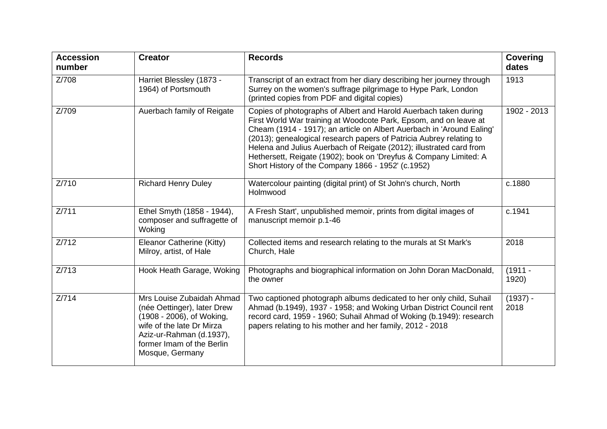| <b>Accession</b><br>number | <b>Creator</b>                                                                                                                                                                                 | <b>Records</b>                                                                                                                                                                                                                                                                                                                                                                                                                                                                          | <b>Covering</b><br>dates |
|----------------------------|------------------------------------------------------------------------------------------------------------------------------------------------------------------------------------------------|-----------------------------------------------------------------------------------------------------------------------------------------------------------------------------------------------------------------------------------------------------------------------------------------------------------------------------------------------------------------------------------------------------------------------------------------------------------------------------------------|--------------------------|
| Z/708                      | Harriet Blessley (1873 -<br>1964) of Portsmouth                                                                                                                                                | Transcript of an extract from her diary describing her journey through<br>Surrey on the women's suffrage pilgrimage to Hype Park, London<br>(printed copies from PDF and digital copies)                                                                                                                                                                                                                                                                                                | 1913                     |
| Z/709                      | Auerbach family of Reigate                                                                                                                                                                     | Copies of photographs of Albert and Harold Auerbach taken during<br>First World War training at Woodcote Park, Epsom, and on leave at<br>Cheam (1914 - 1917); an article on Albert Auerbach in 'Around Ealing'<br>(2013); genealogical research papers of Patricia Aubrey relating to<br>Helena and Julius Auerbach of Reigate (2012); illustrated card from<br>Hethersett, Reigate (1902); book on 'Dreyfus & Company Limited: A<br>Short History of the Company 1866 - 1952' (c.1952) | 1902 - 2013              |
| Z/710                      | <b>Richard Henry Duley</b>                                                                                                                                                                     | Watercolour painting (digital print) of St John's church, North<br>Holmwood                                                                                                                                                                                                                                                                                                                                                                                                             | c.1880                   |
| Z/711                      | Ethel Smyth (1858 - 1944),<br>composer and suffragette of<br>Woking                                                                                                                            | A Fresh Start', unpublished memoir, prints from digital images of<br>manuscript memoir p.1-46                                                                                                                                                                                                                                                                                                                                                                                           | c.1941                   |
| Z/712                      | Eleanor Catherine (Kitty)<br>Milroy, artist, of Hale                                                                                                                                           | Collected items and research relating to the murals at St Mark's<br>Church, Hale                                                                                                                                                                                                                                                                                                                                                                                                        | 2018                     |
| Z/713                      | Hook Heath Garage, Woking                                                                                                                                                                      | Photographs and biographical information on John Doran MacDonald,<br>the owner                                                                                                                                                                                                                                                                                                                                                                                                          | $(1911 -$<br>1920)       |
| Z/714                      | Mrs Louise Zubaidah Ahmad<br>(née Oettinger), later Drew<br>(1908 - 2006), of Woking,<br>wife of the late Dr Mirza<br>Aziz-ur-Rahman (d.1937),<br>former Imam of the Berlin<br>Mosque, Germany | Two captioned photograph albums dedicated to her only child, Suhail<br>Ahmad (b.1949), 1937 - 1958; and Woking Urban District Council rent<br>record card, 1959 - 1960; Suhail Ahmad of Woking (b.1949): research<br>papers relating to his mother and her family, 2012 - 2018                                                                                                                                                                                                          | $(1937) -$<br>2018       |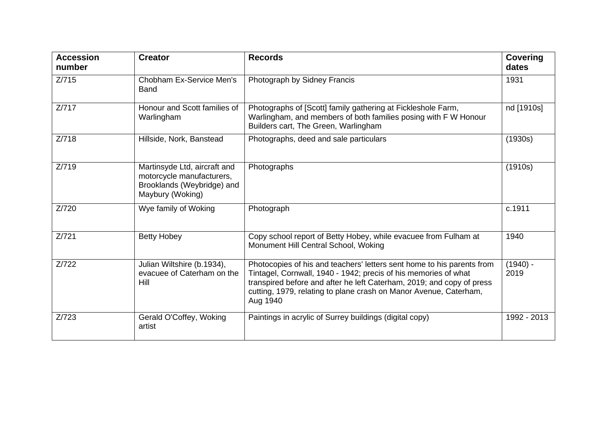| <b>Accession</b><br>number | <b>Creator</b>                                                                                              | <b>Records</b>                                                                                                                                                                                                                                                                                      | <b>Covering</b><br>dates |
|----------------------------|-------------------------------------------------------------------------------------------------------------|-----------------------------------------------------------------------------------------------------------------------------------------------------------------------------------------------------------------------------------------------------------------------------------------------------|--------------------------|
| Z/715                      | Chobham Ex-Service Men's<br><b>Band</b>                                                                     | Photograph by Sidney Francis                                                                                                                                                                                                                                                                        | 1931                     |
| Z/717                      | Honour and Scott families of<br>Warlingham                                                                  | Photographs of [Scott] family gathering at Fickleshole Farm,<br>Warlingham, and members of both families posing with F W Honour<br>Builders cart, The Green, Warlingham                                                                                                                             | nd [1910s]               |
| Z/718                      | Hillside, Nork, Banstead                                                                                    | Photographs, deed and sale particulars                                                                                                                                                                                                                                                              | (1930s)                  |
| Z/719                      | Martinsyde Ltd, aircraft and<br>motorcycle manufacturers,<br>Brooklands (Weybridge) and<br>Maybury (Woking) | Photographs                                                                                                                                                                                                                                                                                         | (1910s)                  |
| Z/720                      | Wye family of Woking                                                                                        | Photograph                                                                                                                                                                                                                                                                                          | c.1911                   |
| Z/721                      | <b>Betty Hobey</b>                                                                                          | Copy school report of Betty Hobey, while evacuee from Fulham at<br>Monument Hill Central School, Woking                                                                                                                                                                                             | 1940                     |
| Z/722                      | Julian Wiltshire (b.1934),<br>evacuee of Caterham on the<br>Hill                                            | Photocopies of his and teachers' letters sent home to his parents from<br>Tintagel, Cornwall, 1940 - 1942; precis of his memories of what<br>transpired before and after he left Caterham, 2019; and copy of press<br>cutting, 1979, relating to plane crash on Manor Avenue, Caterham,<br>Aug 1940 | $(1940) -$<br>2019       |
| Z/723                      | Gerald O'Coffey, Woking<br>artist                                                                           | Paintings in acrylic of Surrey buildings (digital copy)                                                                                                                                                                                                                                             | 1992 - 2013              |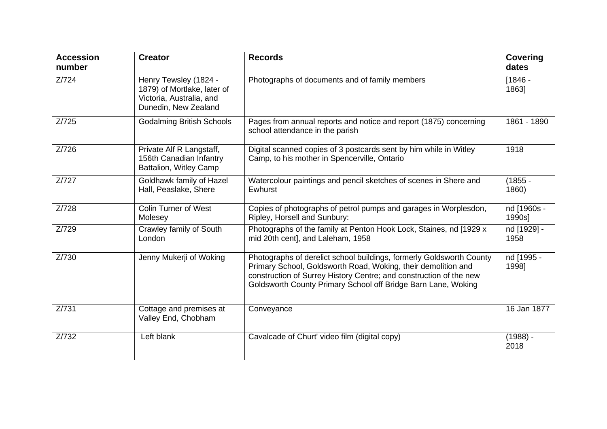| <b>Accession</b><br>number | <b>Creator</b>                                                                                           | <b>Records</b>                                                                                                                                                                                                                                                               | <b>Covering</b><br>dates |
|----------------------------|----------------------------------------------------------------------------------------------------------|------------------------------------------------------------------------------------------------------------------------------------------------------------------------------------------------------------------------------------------------------------------------------|--------------------------|
| Z/724                      | Henry Tewsley (1824 -<br>1879) of Mortlake, later of<br>Victoria, Australia, and<br>Dunedin, New Zealand | Photographs of documents and of family members                                                                                                                                                                                                                               | $[1846 -$<br>1863]       |
| Z/725                      | <b>Godalming British Schools</b>                                                                         | Pages from annual reports and notice and report (1875) concerning<br>school attendance in the parish                                                                                                                                                                         | 1861 - 1890              |
| Z/726                      | Private Alf R Langstaff,<br>156th Canadian Infantry<br>Battalion, Witley Camp                            | Digital scanned copies of 3 postcards sent by him while in Witley<br>Camp, to his mother in Spencerville, Ontario                                                                                                                                                            | 1918                     |
| Z/727                      | Goldhawk family of Hazel<br>Hall, Peaslake, Shere                                                        | Watercolour paintings and pencil sketches of scenes in Shere and<br>Ewhurst                                                                                                                                                                                                  | $(1855 -$<br>1860)       |
| Z/728                      | <b>Colin Turner of West</b><br>Molesey                                                                   | Copies of photographs of petrol pumps and garages in Worplesdon,<br>Ripley, Horsell and Sunbury:                                                                                                                                                                             | nd [1960s -<br>1990s]    |
| Z/729                      | Crawley family of South<br>London                                                                        | Photographs of the family at Penton Hook Lock, Staines, nd [1929 x<br>mid 20th cent], and Laleham, 1958                                                                                                                                                                      | nd [1929] -<br>1958      |
| Z/730                      | Jenny Mukerji of Woking                                                                                  | Photographs of derelict school buildings, formerly Goldsworth County<br>Primary School, Goldsworth Road, Woking, their demolition and<br>construction of Surrey History Centre; and construction of the new<br>Goldsworth County Primary School off Bridge Barn Lane, Woking | nd [1995 -<br>1998]      |
| Z/731                      | Cottage and premises at<br>Valley End, Chobham                                                           | Conveyance                                                                                                                                                                                                                                                                   | 16 Jan 1877              |
| Z/732                      | Left blank                                                                                               | Cavalcade of Churt' video film (digital copy)                                                                                                                                                                                                                                | $(1988) -$<br>2018       |